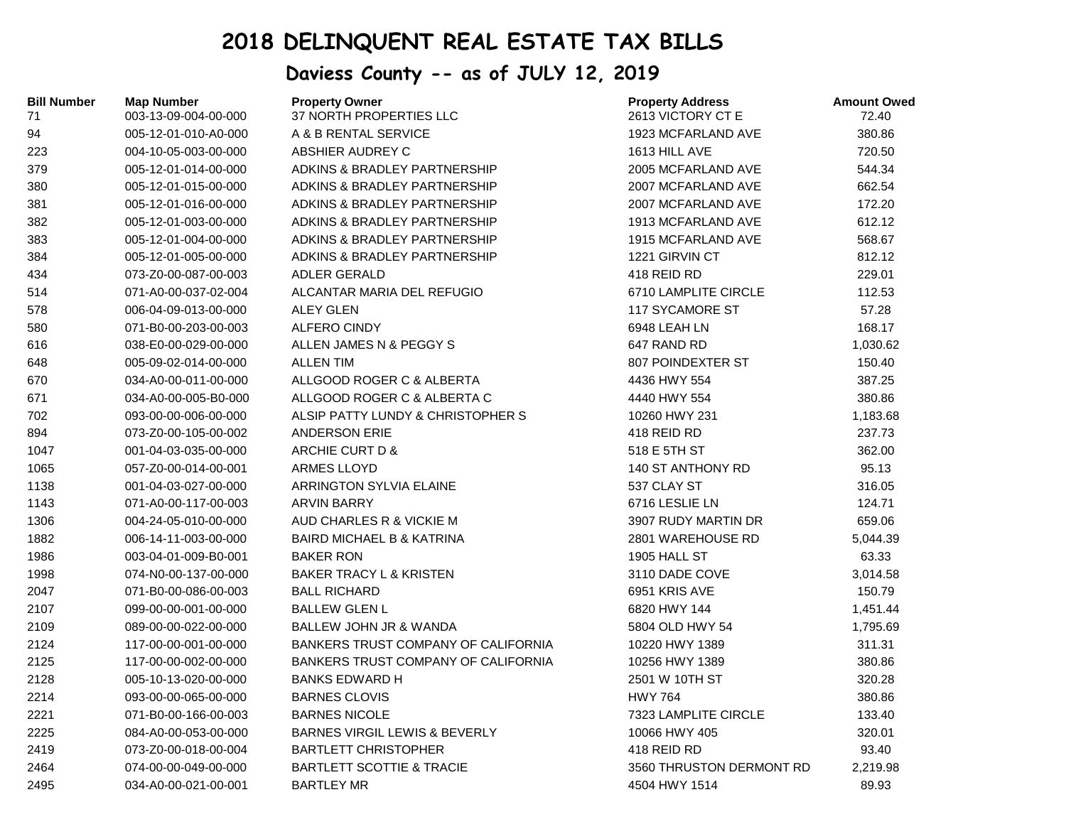## **2018 DELINQUENT REAL ESTATE TAX BILLS**

## **Daviess County -- as of JULY 12, 2019**

| <b>Bill Number</b><br>71 | <b>Map Number</b><br>003-13-09-004-00-000 | <b>Property Owner</b><br>37 NORTH PROPERTIES LLC | <b>Property Address</b><br>2613 VICTORY CT E | <b>Amount Owed</b><br>72.40 |
|--------------------------|-------------------------------------------|--------------------------------------------------|----------------------------------------------|-----------------------------|
| 94                       | 005-12-01-010-A0-000                      | A & B RENTAL SERVICE                             | 1923 MCFARLAND AVE                           | 380.86                      |
| 223                      | 004-10-05-003-00-000                      | ABSHIER AUDREY C                                 | 1613 HILL AVE                                | 720.50                      |
| 379                      | 005-12-01-014-00-000                      | ADKINS & BRADLEY PARTNERSHIP                     | 2005 MCFARLAND AVE                           | 544.34                      |
| 380                      | 005-12-01-015-00-000                      | ADKINS & BRADLEY PARTNERSHIP                     | 2007 MCFARLAND AVE                           | 662.54                      |
| 381                      | 005-12-01-016-00-000                      | ADKINS & BRADLEY PARTNERSHIP                     | 2007 MCFARLAND AVE                           | 172.20                      |
| 382                      | 005-12-01-003-00-000                      | ADKINS & BRADLEY PARTNERSHIP                     | 1913 MCFARLAND AVE                           | 612.12                      |
| 383                      | 005-12-01-004-00-000                      | ADKINS & BRADLEY PARTNERSHIP                     | 1915 MCFARLAND AVE                           | 568.67                      |
| 384                      | 005-12-01-005-00-000                      | ADKINS & BRADLEY PARTNERSHIP                     | 1221 GIRVIN CT                               | 812.12                      |
| 434                      | 073-Z0-00-087-00-003                      | <b>ADLER GERALD</b>                              | 418 REID RD                                  | 229.01                      |
| 514                      | 071-A0-00-037-02-004                      | ALCANTAR MARIA DEL REFUGIO                       | 6710 LAMPLITE CIRCLE                         | 112.53                      |
| 578                      | 006-04-09-013-00-000                      | <b>ALEY GLEN</b>                                 | 117 SYCAMORE ST                              | 57.28                       |
| 580                      | 071-B0-00-203-00-003                      | <b>ALFERO CINDY</b>                              | 6948 LEAH LN                                 | 168.17                      |
| 616                      | 038-E0-00-029-00-000                      | ALLEN JAMES N & PEGGY S                          | 647 RAND RD                                  | 1,030.62                    |
| 648                      | 005-09-02-014-00-000                      | <b>ALLEN TIM</b>                                 | 807 POINDEXTER ST                            | 150.40                      |
| 670                      | 034-A0-00-011-00-000                      | ALLGOOD ROGER C & ALBERTA                        | 4436 HWY 554                                 | 387.25                      |
| 671                      | 034-A0-00-005-B0-000                      | ALLGOOD ROGER C & ALBERTA C                      | 4440 HWY 554                                 | 380.86                      |
| 702                      | 093-00-00-006-00-000                      | ALSIP PATTY LUNDY & CHRISTOPHER S                | 10260 HWY 231                                | 1,183.68                    |
| 894                      | 073-Z0-00-105-00-002                      | <b>ANDERSON ERIE</b>                             | 418 REID RD                                  | 237.73                      |
| 1047                     | 001-04-03-035-00-000                      | ARCHIE CURT D &                                  | 518 E 5TH ST                                 | 362.00                      |
| 1065                     | 057-Z0-00-014-00-001                      | <b>ARMES LLOYD</b>                               | 140 ST ANTHONY RD                            | 95.13                       |
| 1138                     | 001-04-03-027-00-000                      | <b>ARRINGTON SYLVIA ELAINE</b>                   | 537 CLAY ST                                  | 316.05                      |
| 1143                     | 071-A0-00-117-00-003                      | <b>ARVIN BARRY</b>                               | 6716 LESLIE LN                               | 124.71                      |
| 1306                     | 004-24-05-010-00-000                      | AUD CHARLES R & VICKIE M                         | 3907 RUDY MARTIN DR                          | 659.06                      |
| 1882                     | 006-14-11-003-00-000                      | <b>BAIRD MICHAEL B &amp; KATRINA</b>             | 2801 WAREHOUSE RD                            | 5,044.39                    |
| 1986                     | 003-04-01-009-B0-001                      | <b>BAKER RON</b>                                 | 1905 HALL ST                                 | 63.33                       |
| 1998                     | 074-N0-00-137-00-000                      | <b>BAKER TRACY L &amp; KRISTEN</b>               | 3110 DADE COVE                               | 3,014.58                    |
| 2047                     | 071-B0-00-086-00-003                      | <b>BALL RICHARD</b>                              | 6951 KRIS AVE                                | 150.79                      |
| 2107                     | 099-00-00-001-00-000                      | <b>BALLEW GLEN L</b>                             | 6820 HWY 144                                 | 1,451.44                    |
| 2109                     | 089-00-00-022-00-000                      | <b>BALLEW JOHN JR &amp; WANDA</b>                | 5804 OLD HWY 54                              | 1,795.69                    |
| 2124                     | 117-00-00-001-00-000                      | BANKERS TRUST COMPANY OF CALIFORNIA              | 10220 HWY 1389                               | 311.31                      |
| 2125                     | 117-00-00-002-00-000                      | BANKERS TRUST COMPANY OF CALIFORNIA              | 10256 HWY 1389                               | 380.86                      |
| 2128                     | 005-10-13-020-00-000                      | <b>BANKS EDWARD H</b>                            | 2501 W 10TH ST                               | 320.28                      |
| 2214                     | 093-00-00-065-00-000                      | <b>BARNES CLOVIS</b>                             | <b>HWY 764</b>                               | 380.86                      |
| 2221                     | 071-B0-00-166-00-003                      | <b>BARNES NICOLE</b>                             | 7323 LAMPLITE CIRCLE                         | 133.40                      |
| 2225                     | 084-A0-00-053-00-000                      | <b>BARNES VIRGIL LEWIS &amp; BEVERLY</b>         | 10066 HWY 405                                | 320.01                      |
| 2419                     | 073-Z0-00-018-00-004                      | <b>BARTLETT CHRISTOPHER</b>                      | 418 REID RD                                  | 93.40                       |
| 2464                     | 074-00-00-049-00-000                      | <b>BARTLETT SCOTTIE &amp; TRACIE</b>             | 3560 THRUSTON DERMONT RD                     | 2,219.98                    |
| 2495                     | 034-A0-00-021-00-001                      | <b>BARTLEY MR</b>                                | 4504 HWY 1514                                | 89.93                       |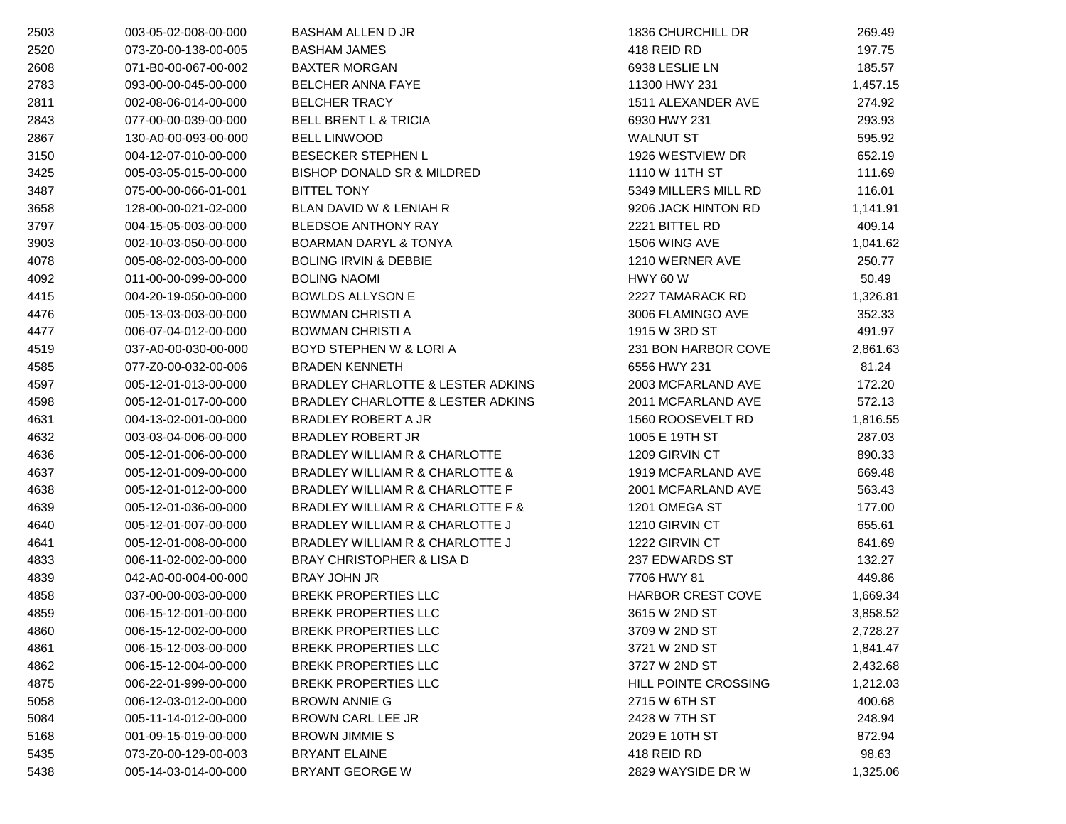| 2503 | 003-05-02-008-00-000 | <b>BASHAM ALLEN D JR</b>                   | 1836 CHURCHILL DR           | 269.49   |
|------|----------------------|--------------------------------------------|-----------------------------|----------|
| 2520 | 073-Z0-00-138-00-005 | <b>BASHAM JAMES</b>                        | 418 REID RD                 | 197.75   |
| 2608 | 071-B0-00-067-00-002 | <b>BAXTER MORGAN</b>                       | 6938 LESLIE LN              | 185.57   |
| 2783 | 093-00-00-045-00-000 | <b>BELCHER ANNA FAYE</b>                   | 11300 HWY 231               | 1,457.15 |
| 2811 | 002-08-06-014-00-000 | <b>BELCHER TRACY</b>                       | 1511 ALEXANDER AVE          | 274.92   |
| 2843 | 077-00-00-039-00-000 | <b>BELL BRENT L &amp; TRICIA</b>           | 6930 HWY 231                | 293.93   |
| 2867 | 130-A0-00-093-00-000 | <b>BELL LINWOOD</b>                        | <b>WALNUT ST</b>            | 595.92   |
| 3150 | 004-12-07-010-00-000 | <b>BESECKER STEPHEN L</b>                  | 1926 WESTVIEW DR            | 652.19   |
| 3425 | 005-03-05-015-00-000 | BISHOP DONALD SR & MILDRED                 | 1110 W 11TH ST              | 111.69   |
| 3487 | 075-00-00-066-01-001 | <b>BITTEL TONY</b>                         | 5349 MILLERS MILL RD        | 116.01   |
| 3658 | 128-00-00-021-02-000 | BLAN DAVID W & LENIAH R                    | 9206 JACK HINTON RD         | 1,141.91 |
| 3797 | 004-15-05-003-00-000 | <b>BLEDSOE ANTHONY RAY</b>                 | 2221 BITTEL RD              | 409.14   |
| 3903 | 002-10-03-050-00-000 | <b>BOARMAN DARYL &amp; TONYA</b>           | 1506 WING AVE               | 1,041.62 |
| 4078 | 005-08-02-003-00-000 | <b>BOLING IRVIN &amp; DEBBIE</b>           | 1210 WERNER AVE             | 250.77   |
| 4092 | 011-00-00-099-00-000 | <b>BOLING NAOMI</b>                        | <b>HWY 60 W</b>             | 50.49    |
| 4415 | 004-20-19-050-00-000 | <b>BOWLDS ALLYSON E</b>                    | 2227 TAMARACK RD            | 1,326.81 |
| 4476 | 005-13-03-003-00-000 | <b>BOWMAN CHRISTI A</b>                    | 3006 FLAMINGO AVE           | 352.33   |
| 4477 | 006-07-04-012-00-000 | <b>BOWMAN CHRISTI A</b>                    | 1915 W 3RD ST               | 491.97   |
| 4519 | 037-A0-00-030-00-000 | <b>BOYD STEPHEN W &amp; LORI A</b>         | 231 BON HARBOR COVE         | 2,861.63 |
| 4585 | 077-Z0-00-032-00-006 | <b>BRADEN KENNETH</b>                      | 6556 HWY 231                | 81.24    |
| 4597 | 005-12-01-013-00-000 | BRADLEY CHARLOTTE & LESTER ADKINS          | 2003 MCFARLAND AVE          | 172.20   |
| 4598 | 005-12-01-017-00-000 | BRADLEY CHARLOTTE & LESTER ADKINS          | 2011 MCFARLAND AVE          | 572.13   |
| 4631 | 004-13-02-001-00-000 | BRADLEY ROBERT A JR                        | 1560 ROOSEVELT RD           | 1,816.55 |
| 4632 | 003-03-04-006-00-000 | <b>BRADLEY ROBERT JR</b>                   | 1005 E 19TH ST              | 287.03   |
| 4636 | 005-12-01-006-00-000 | BRADLEY WILLIAM R & CHARLOTTE              | 1209 GIRVIN CT              | 890.33   |
| 4637 | 005-12-01-009-00-000 | BRADLEY WILLIAM R & CHARLOTTE &            | 1919 MCFARLAND AVE          | 669.48   |
| 4638 | 005-12-01-012-00-000 | <b>BRADLEY WILLIAM R &amp; CHARLOTTE F</b> | 2001 MCFARLAND AVE          | 563.43   |
| 4639 | 005-12-01-036-00-000 | BRADLEY WILLIAM R & CHARLOTTE F &          | 1201 OMEGA ST               | 177.00   |
| 4640 | 005-12-01-007-00-000 | BRADLEY WILLIAM R & CHARLOTTE J            | 1210 GIRVIN CT              | 655.61   |
| 4641 | 005-12-01-008-00-000 | BRADLEY WILLIAM R & CHARLOTTE J            | 1222 GIRVIN CT              | 641.69   |
| 4833 | 006-11-02-002-00-000 | <b>BRAY CHRISTOPHER &amp; LISA D</b>       | 237 EDWARDS ST              | 132.27   |
| 4839 | 042-A0-00-004-00-000 | <b>BRAY JOHN JR</b>                        | 7706 HWY 81                 | 449.86   |
| 4858 | 037-00-00-003-00-000 | <b>BREKK PROPERTIES LLC</b>                | <b>HARBOR CREST COVE</b>    | 1,669.34 |
| 4859 | 006-15-12-001-00-000 | <b>BREKK PROPERTIES LLC</b>                | 3615 W 2ND ST               | 3,858.52 |
| 4860 | 006-15-12-002-00-000 | <b>BREKK PROPERTIES LLC</b>                | 3709 W 2ND ST               | 2,728.27 |
| 4861 | 006-15-12-003-00-000 | <b>BREKK PROPERTIES LLC</b>                | 3721 W 2ND ST               | 1,841.47 |
| 4862 | 006-15-12-004-00-000 | <b>BREKK PROPERTIES LLC</b>                | 3727 W 2ND ST               | 2,432.68 |
| 4875 | 006-22-01-999-00-000 | <b>BREKK PROPERTIES LLC</b>                | <b>HILL POINTE CROSSING</b> | 1,212.03 |
| 5058 | 006-12-03-012-00-000 | <b>BROWN ANNIE G</b>                       | 2715 W 6TH ST               | 400.68   |
| 5084 | 005-11-14-012-00-000 | BROWN CARL LEE JR                          | 2428 W 7TH ST               | 248.94   |
| 5168 | 001-09-15-019-00-000 | <b>BROWN JIMMIE S</b>                      | 2029 E 10TH ST              | 872.94   |
| 5435 | 073-Z0-00-129-00-003 | <b>BRYANT ELAINE</b>                       | 418 REID RD                 | 98.63    |
| 5438 | 005-14-03-014-00-000 | BRYANT GEORGE W                            | 2829 WAYSIDE DR W           | 1,325.06 |
|      |                      |                                            |                             |          |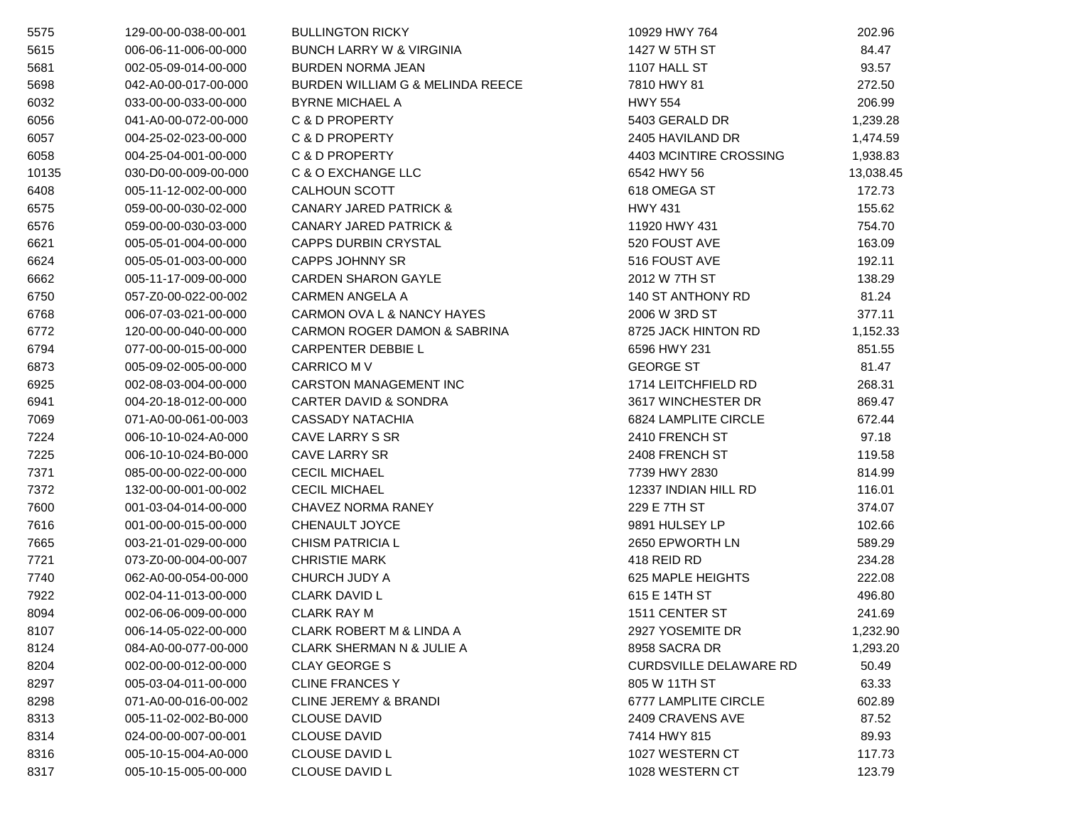| 5575  | 129-00-00-038-00-001 | <b>BULLINGTON RICKY</b>                 | 10929 HWY 764                 | 202.96    |
|-------|----------------------|-----------------------------------------|-------------------------------|-----------|
| 5615  | 006-06-11-006-00-000 | <b>BUNCH LARRY W &amp; VIRGINIA</b>     | 1427 W 5TH ST                 | 84.47     |
| 5681  | 002-05-09-014-00-000 | <b>BURDEN NORMA JEAN</b>                | 1107 HALL ST                  | 93.57     |
| 5698  | 042-A0-00-017-00-000 | BURDEN WILLIAM G & MELINDA REECE        | 7810 HWY 81                   | 272.50    |
| 6032  | 033-00-00-033-00-000 | <b>BYRNE MICHAEL A</b>                  | <b>HWY 554</b>                | 206.99    |
| 6056  | 041-A0-00-072-00-000 | C & D PROPERTY                          | 5403 GERALD DR                | 1,239.28  |
| 6057  | 004-25-02-023-00-000 | C & D PROPERTY                          | 2405 HAVILAND DR              | 1,474.59  |
| 6058  | 004-25-04-001-00-000 | C & D PROPERTY                          | 4403 MCINTIRE CROSSING        | 1,938.83  |
| 10135 | 030-D0-00-009-00-000 | C & O EXCHANGE LLC                      | 6542 HWY 56                   | 13,038.45 |
| 6408  | 005-11-12-002-00-000 | CALHOUN SCOTT                           | 618 OMEGA ST                  | 172.73    |
| 6575  | 059-00-00-030-02-000 | <b>CANARY JARED PATRICK &amp;</b>       | <b>HWY 431</b>                | 155.62    |
| 6576  | 059-00-00-030-03-000 | <b>CANARY JARED PATRICK &amp;</b>       | 11920 HWY 431                 | 754.70    |
| 6621  | 005-05-01-004-00-000 | <b>CAPPS DURBIN CRYSTAL</b>             | 520 FOUST AVE                 | 163.09    |
| 6624  | 005-05-01-003-00-000 | <b>CAPPS JOHNNY SR</b>                  | 516 FOUST AVE                 | 192.11    |
| 6662  | 005-11-17-009-00-000 | <b>CARDEN SHARON GAYLE</b>              | 2012 W 7TH ST                 | 138.29    |
| 6750  | 057-Z0-00-022-00-002 | <b>CARMEN ANGELA A</b>                  | 140 ST ANTHONY RD             | 81.24     |
| 6768  | 006-07-03-021-00-000 | CARMON OVA L & NANCY HAYES              | 2006 W 3RD ST                 | 377.11    |
| 6772  | 120-00-00-040-00-000 | <b>CARMON ROGER DAMON &amp; SABRINA</b> | 8725 JACK HINTON RD           | 1,152.33  |
| 6794  | 077-00-00-015-00-000 | <b>CARPENTER DEBBIE L</b>               | 6596 HWY 231                  | 851.55    |
| 6873  | 005-09-02-005-00-000 | <b>CARRICO M V</b>                      | <b>GEORGE ST</b>              | 81.47     |
| 6925  | 002-08-03-004-00-000 | CARSTON MANAGEMENT INC                  | 1714 LEITCHFIELD RD           | 268.31    |
| 6941  | 004-20-18-012-00-000 | <b>CARTER DAVID &amp; SONDRA</b>        | 3617 WINCHESTER DR            | 869.47    |
| 7069  | 071-A0-00-061-00-003 | <b>CASSADY NATACHIA</b>                 | 6824 LAMPLITE CIRCLE          | 672.44    |
| 7224  | 006-10-10-024-A0-000 | CAVE LARRY S SR                         | 2410 FRENCH ST                | 97.18     |
| 7225  | 006-10-10-024-B0-000 | <b>CAVE LARRY SR</b>                    | 2408 FRENCH ST                | 119.58    |
| 7371  | 085-00-00-022-00-000 | <b>CECIL MICHAEL</b>                    | 7739 HWY 2830                 | 814.99    |
| 7372  | 132-00-00-001-00-002 | <b>CECIL MICHAEL</b>                    | 12337 INDIAN HILL RD          | 116.01    |
| 7600  | 001-03-04-014-00-000 | CHAVEZ NORMA RANEY                      | 229 E 7TH ST                  | 374.07    |
| 7616  | 001-00-00-015-00-000 | CHENAULT JOYCE                          | 9891 HULSEY LP                | 102.66    |
| 7665  | 003-21-01-029-00-000 | <b>CHISM PATRICIA L</b>                 | 2650 EPWORTH LN               | 589.29    |
| 7721  | 073-Z0-00-004-00-007 | <b>CHRISTIE MARK</b>                    | 418 REID RD                   | 234.28    |
| 7740  | 062-A0-00-054-00-000 | CHURCH JUDY A                           | 625 MAPLE HEIGHTS             | 222.08    |
| 7922  | 002-04-11-013-00-000 | <b>CLARK DAVID L</b>                    | 615 E 14TH ST                 | 496.80    |
| 8094  | 002-06-06-009-00-000 | <b>CLARK RAY M</b>                      | 1511 CENTER ST                | 241.69    |
| 8107  | 006-14-05-022-00-000 | CLARK ROBERT M & LINDA A                | 2927 YOSEMITE DR              | 1,232.90  |
| 8124  | 084-A0-00-077-00-000 | <b>CLARK SHERMAN N &amp; JULIE A</b>    | 8958 SACRA DR                 | 1,293.20  |
| 8204  | 002-00-00-012-00-000 | <b>CLAY GEORGE S</b>                    | <b>CURDSVILLE DELAWARE RD</b> | 50.49     |
| 8297  | 005-03-04-011-00-000 | <b>CLINE FRANCES Y</b>                  | 805 W 11TH ST                 | 63.33     |
| 8298  | 071-A0-00-016-00-002 | <b>CLINE JEREMY &amp; BRANDI</b>        | 6777 LAMPLITE CIRCLE          | 602.89    |
| 8313  | 005-11-02-002-B0-000 | <b>CLOUSE DAVID</b>                     | 2409 CRAVENS AVE              | 87.52     |
| 8314  | 024-00-00-007-00-001 | <b>CLOUSE DAVID</b>                     | 7414 HWY 815                  | 89.93     |
| 8316  | 005-10-15-004-A0-000 | <b>CLOUSE DAVID L</b>                   | 1027 WESTERN CT               | 117.73    |
| 8317  | 005-10-15-005-00-000 | <b>CLOUSE DAVID L</b>                   | 1028 WESTERN CT               | 123.79    |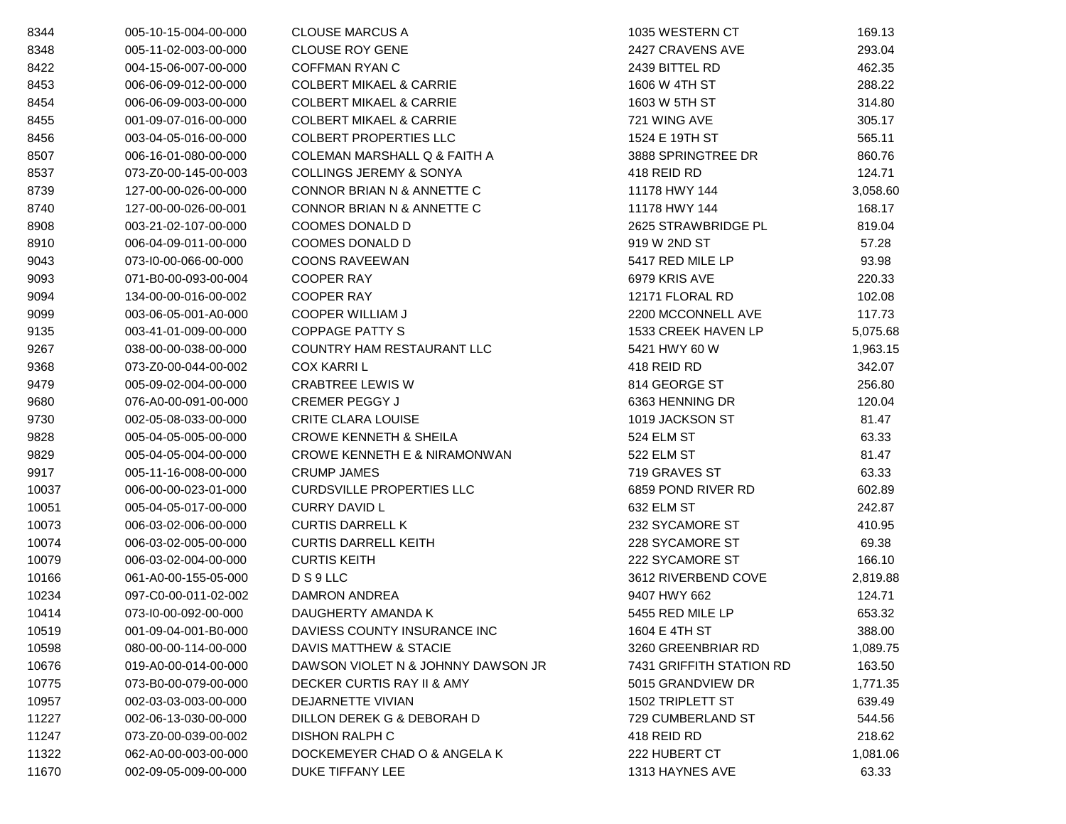| 8344  | 005-10-15-004-00-000 | <b>CLOUSE MARCUS A</b>             | 1035 WESTERN CT          | 169.13   |
|-------|----------------------|------------------------------------|--------------------------|----------|
| 8348  | 005-11-02-003-00-000 | <b>CLOUSE ROY GENE</b>             | 2427 CRAVENS AVE         | 293.04   |
| 8422  | 004-15-06-007-00-000 | <b>COFFMAN RYAN C</b>              | 2439 BITTEL RD           | 462.35   |
| 8453  | 006-06-09-012-00-000 | <b>COLBERT MIKAEL &amp; CARRIE</b> | 1606 W 4TH ST            | 288.22   |
| 8454  | 006-06-09-003-00-000 | <b>COLBERT MIKAEL &amp; CARRIE</b> | 1603 W 5TH ST            | 314.80   |
| 8455  | 001-09-07-016-00-000 | <b>COLBERT MIKAEL &amp; CARRIE</b> | 721 WING AVE             | 305.17   |
| 8456  | 003-04-05-016-00-000 | <b>COLBERT PROPERTIES LLC</b>      | 1524 E 19TH ST           | 565.11   |
| 8507  | 006-16-01-080-00-000 | COLEMAN MARSHALL Q & FAITH A       | 3888 SPRINGTREE DR       | 860.76   |
| 8537  | 073-Z0-00-145-00-003 | <b>COLLINGS JEREMY &amp; SONYA</b> | 418 REID RD              | 124.71   |
| 8739  | 127-00-00-026-00-000 | CONNOR BRIAN N & ANNETTE C         | 11178 HWY 144            | 3,058.60 |
| 8740  | 127-00-00-026-00-001 | CONNOR BRIAN N & ANNETTE C         | 11178 HWY 144            | 168.17   |
| 8908  | 003-21-02-107-00-000 | COOMES DONALD D                    | 2625 STRAWBRIDGE PL      | 819.04   |
| 8910  | 006-04-09-011-00-000 | COOMES DONALD D                    | 919 W 2ND ST             | 57.28    |
| 9043  | 073-I0-00-066-00-000 | <b>COONS RAVEEWAN</b>              | 5417 RED MILE LP         | 93.98    |
| 9093  | 071-B0-00-093-00-004 | <b>COOPER RAY</b>                  | 6979 KRIS AVE            | 220.33   |
| 9094  | 134-00-00-016-00-002 | <b>COOPER RAY</b>                  | 12171 FLORAL RD          | 102.08   |
| 9099  | 003-06-05-001-A0-000 | <b>COOPER WILLIAM J</b>            | 2200 MCCONNELL AVE       | 117.73   |
| 9135  | 003-41-01-009-00-000 | <b>COPPAGE PATTY S</b>             | 1533 CREEK HAVEN LP      | 5,075.68 |
| 9267  | 038-00-00-038-00-000 | <b>COUNTRY HAM RESTAURANT LLC</b>  | 5421 HWY 60 W            | 1,963.15 |
| 9368  | 073-Z0-00-044-00-002 | <b>COX KARRIL</b>                  | 418 REID RD              | 342.07   |
| 9479  | 005-09-02-004-00-000 | <b>CRABTREE LEWIS W</b>            | 814 GEORGE ST            | 256.80   |
| 9680  | 076-A0-00-091-00-000 | <b>CREMER PEGGY J</b>              | 6363 HENNING DR          | 120.04   |
| 9730  | 002-05-08-033-00-000 | <b>CRITE CLARA LOUISE</b>          | 1019 JACKSON ST          | 81.47    |
| 9828  | 005-04-05-005-00-000 | <b>CROWE KENNETH &amp; SHEILA</b>  | 524 ELM ST               | 63.33    |
| 9829  | 005-04-05-004-00-000 | CROWE KENNETH E & NIRAMONWAN       | 522 ELM ST               | 81.47    |
| 9917  | 005-11-16-008-00-000 | <b>CRUMP JAMES</b>                 | 719 GRAVES ST            | 63.33    |
| 10037 | 006-00-00-023-01-000 | <b>CURDSVILLE PROPERTIES LLC</b>   | 6859 POND RIVER RD       | 602.89   |
| 10051 | 005-04-05-017-00-000 | <b>CURRY DAVID L</b>               | 632 ELM ST               | 242.87   |
| 10073 | 006-03-02-006-00-000 | <b>CURTIS DARRELL K</b>            | 232 SYCAMORE ST          | 410.95   |
| 10074 | 006-03-02-005-00-000 | <b>CURTIS DARRELL KEITH</b>        | 228 SYCAMORE ST          | 69.38    |
| 10079 | 006-03-02-004-00-000 | <b>CURTIS KEITH</b>                | 222 SYCAMORE ST          | 166.10   |
| 10166 | 061-A0-00-155-05-000 | DS9LLC                             | 3612 RIVERBEND COVE      | 2,819.88 |
| 10234 | 097-C0-00-011-02-002 | DAMRON ANDREA                      | 9407 HWY 662             | 124.71   |
| 10414 | 073-I0-00-092-00-000 | DAUGHERTY AMANDA K                 | 5455 RED MILE LP         | 653.32   |
| 10519 | 001-09-04-001-B0-000 | DAVIESS COUNTY INSURANCE INC       | 1604 E 4TH ST            | 388.00   |
| 10598 | 080-00-00-114-00-000 | DAVIS MATTHEW & STACIE             | 3260 GREENBRIAR RD       | 1,089.75 |
| 10676 | 019-A0-00-014-00-000 | DAWSON VIOLET N & JOHNNY DAWSON JR | 7431 GRIFFITH STATION RD | 163.50   |
| 10775 | 073-B0-00-079-00-000 | DECKER CURTIS RAY II & AMY         | 5015 GRANDVIEW DR        | 1,771.35 |
| 10957 | 002-03-03-003-00-000 | DEJARNETTE VIVIAN                  | 1502 TRIPLETT ST         | 639.49   |
| 11227 | 002-06-13-030-00-000 | DILLON DEREK G & DEBORAH D         | 729 CUMBERLAND ST        | 544.56   |
| 11247 | 073-Z0-00-039-00-002 | <b>DISHON RALPH C</b>              | 418 REID RD              | 218.62   |
| 11322 | 062-A0-00-003-00-000 | DOCKEMEYER CHAD O & ANGELA K       | 222 HUBERT CT            | 1,081.06 |
| 11670 | 002-09-05-009-00-000 | DUKE TIFFANY LEE                   | 1313 HAYNES AVE          | 63.33    |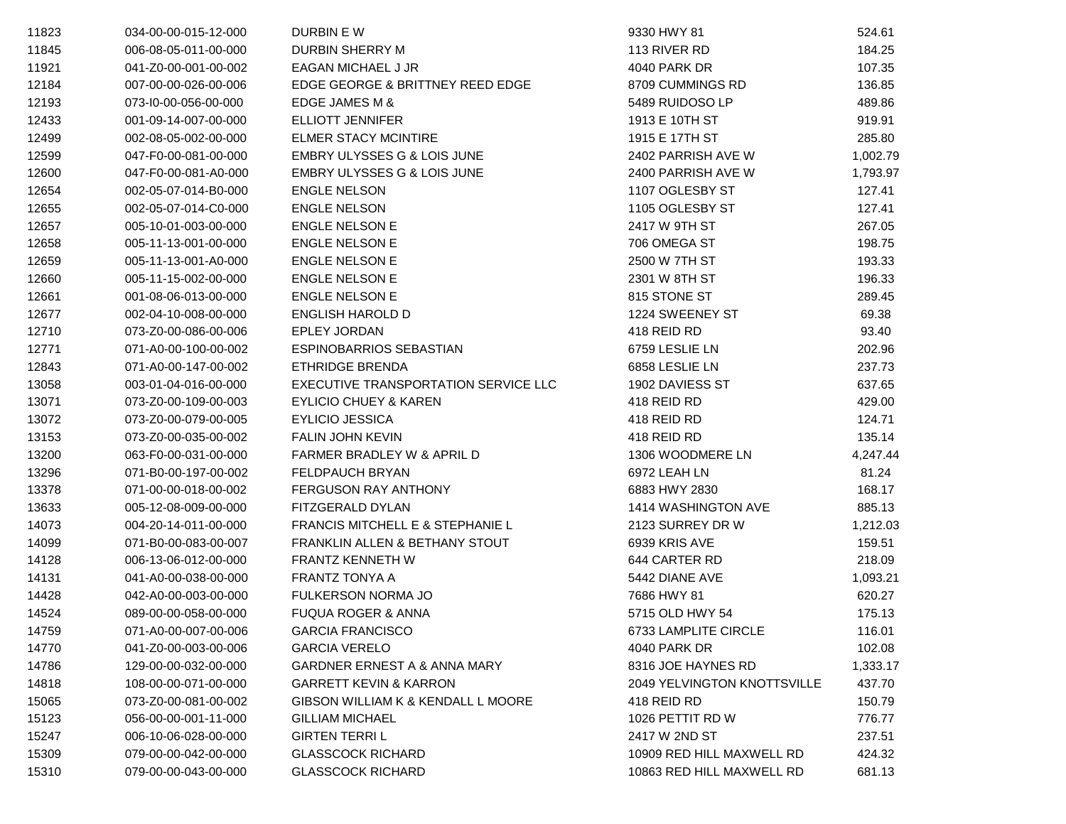| 11823 | 034-00-00-015-12-000 | DURBIN E W                             | 9330 HWY 81                        | 524.61   |
|-------|----------------------|----------------------------------------|------------------------------------|----------|
| 11845 | 006-08-05-011-00-000 | <b>DURBIN SHERRY M</b>                 | 113 RIVER RD                       | 184.25   |
| 11921 | 041-Z0-00-001-00-002 | EAGAN MICHAEL J JR                     | 4040 PARK DR                       | 107.35   |
| 12184 | 007-00-00-026-00-006 | EDGE GEORGE & BRITTNEY REED EDGE       | 8709 CUMMINGS RD                   | 136.85   |
| 12193 | 073-I0-00-056-00-000 | EDGE JAMES M &                         | 5489 RUIDOSO LP                    | 489.86   |
| 12433 | 001-09-14-007-00-000 | <b>ELLIOTT JENNIFER</b>                | 1913 E 10TH ST                     | 919.91   |
| 12499 | 002-08-05-002-00-000 | <b>ELMER STACY MCINTIRE</b>            | 1915 E 17TH ST                     | 285.80   |
| 12599 | 047-F0-00-081-00-000 | EMBRY ULYSSES G & LOIS JUNE            | 2402 PARRISH AVE W                 | 1,002.79 |
| 12600 | 047-F0-00-081-A0-000 | <b>EMBRY ULYSSES G &amp; LOIS JUNE</b> | 2400 PARRISH AVE W                 | 1,793.97 |
| 12654 | 002-05-07-014-B0-000 | <b>ENGLE NELSON</b>                    | 1107 OGLESBY ST                    | 127.41   |
| 12655 | 002-05-07-014-C0-000 | <b>ENGLE NELSON</b>                    | 1105 OGLESBY ST                    | 127.41   |
| 12657 | 005-10-01-003-00-000 | <b>ENGLE NELSON E</b>                  | 2417 W 9TH ST                      | 267.05   |
| 12658 | 005-11-13-001-00-000 | <b>ENGLE NELSON E</b>                  | 706 OMEGA ST                       | 198.75   |
| 12659 | 005-11-13-001-A0-000 | <b>ENGLE NELSON E</b>                  | 2500 W 7TH ST                      | 193.33   |
| 12660 | 005-11-15-002-00-000 | <b>ENGLE NELSON E</b>                  | 2301 W 8TH ST                      | 196.33   |
| 12661 | 001-08-06-013-00-000 | <b>ENGLE NELSON E</b>                  | 815 STONE ST                       | 289.45   |
| 12677 | 002-04-10-008-00-000 | <b>ENGLISH HAROLD D</b>                | 1224 SWEENEY ST                    | 69.38    |
| 12710 | 073-Z0-00-086-00-006 | <b>EPLEY JORDAN</b>                    | 418 REID RD                        | 93.40    |
| 12771 | 071-A0-00-100-00-002 | ESPINOBARRIOS SEBASTIAN                | 6759 LESLIE LN                     | 202.96   |
| 12843 | 071-A0-00-147-00-002 | ETHRIDGE BRENDA                        | 6858 LESLIE LN                     | 237.73   |
| 13058 | 003-01-04-016-00-000 | EXECUTIVE TRANSPORTATION SERVICE LLC   | 1902 DAVIESS ST                    | 637.65   |
| 13071 | 073-Z0-00-109-00-003 | <b>EYLICIO CHUEY &amp; KAREN</b>       | 418 REID RD                        | 429.00   |
| 13072 | 073-Z0-00-079-00-005 | <b>EYLICIO JESSICA</b>                 | 418 REID RD                        | 124.71   |
| 13153 | 073-Z0-00-035-00-002 | <b>FALIN JOHN KEVIN</b>                | 418 REID RD                        | 135.14   |
| 13200 | 063-F0-00-031-00-000 | FARMER BRADLEY W & APRIL D             | 1306 WOODMERE LN                   | 4,247.44 |
| 13296 | 071-B0-00-197-00-002 | FELDPAUCH BRYAN                        | 6972 LEAH LN                       | 81.24    |
| 13378 | 071-00-00-018-00-002 | FERGUSON RAY ANTHONY                   | 6883 HWY 2830                      | 168.17   |
| 13633 | 005-12-08-009-00-000 | FITZGERALD DYLAN                       | 1414 WASHINGTON AVE                | 885.13   |
| 14073 | 004-20-14-011-00-000 | FRANCIS MITCHELL E & STEPHANIE L       | 2123 SURREY DR W                   | 1,212.03 |
| 14099 | 071-B0-00-083-00-007 | FRANKLIN ALLEN & BETHANY STOUT         | 6939 KRIS AVE                      | 159.51   |
| 14128 | 006-13-06-012-00-000 | <b>FRANTZ KENNETH W</b>                | 644 CARTER RD                      | 218.09   |
| 14131 | 041-A0-00-038-00-000 | FRANTZ TONYA A                         | 5442 DIANE AVE                     | 1,093.21 |
| 14428 | 042-A0-00-003-00-000 | FULKERSON NORMA JO                     | 7686 HWY 81                        | 620.27   |
| 14524 | 089-00-00-058-00-000 | <b>FUQUA ROGER &amp; ANNA</b>          | 5715 OLD HWY 54                    | 175.13   |
| 14759 | 071-A0-00-007-00-006 | <b>GARCIA FRANCISCO</b>                | 6733 LAMPLITE CIRCLE               | 116.01   |
| 14770 | 041-Z0-00-003-00-006 | <b>GARCIA VERELO</b>                   | 4040 PARK DR                       | 102.08   |
| 14786 | 129-00-00-032-00-000 | GARDNER ERNEST A & ANNA MARY           | 8316 JOE HAYNES RD                 | 1,333.17 |
| 14818 | 108-00-00-071-00-000 | <b>GARRETT KEVIN &amp; KARRON</b>      | <b>2049 YELVINGTON KNOTTSVILLE</b> | 437.70   |
| 15065 | 073-Z0-00-081-00-002 | GIBSON WILLIAM K & KENDALL L MOORE     | 418 REID RD                        | 150.79   |
| 15123 | 056-00-00-001-11-000 | <b>GILLIAM MICHAEL</b>                 | 1026 PETTIT RD W                   | 776.77   |
| 15247 | 006-10-06-028-00-000 | <b>GIRTEN TERRIL</b>                   | 2417 W 2ND ST                      | 237.51   |
| 15309 | 079-00-00-042-00-000 | <b>GLASSCOCK RICHARD</b>               | 10909 RED HILL MAXWELL RD          | 424.32   |
| 15310 | 079-00-00-043-00-000 | <b>GLASSCOCK RICHARD</b>               | 10863 RED HILL MAXWELL RD          | 681.13   |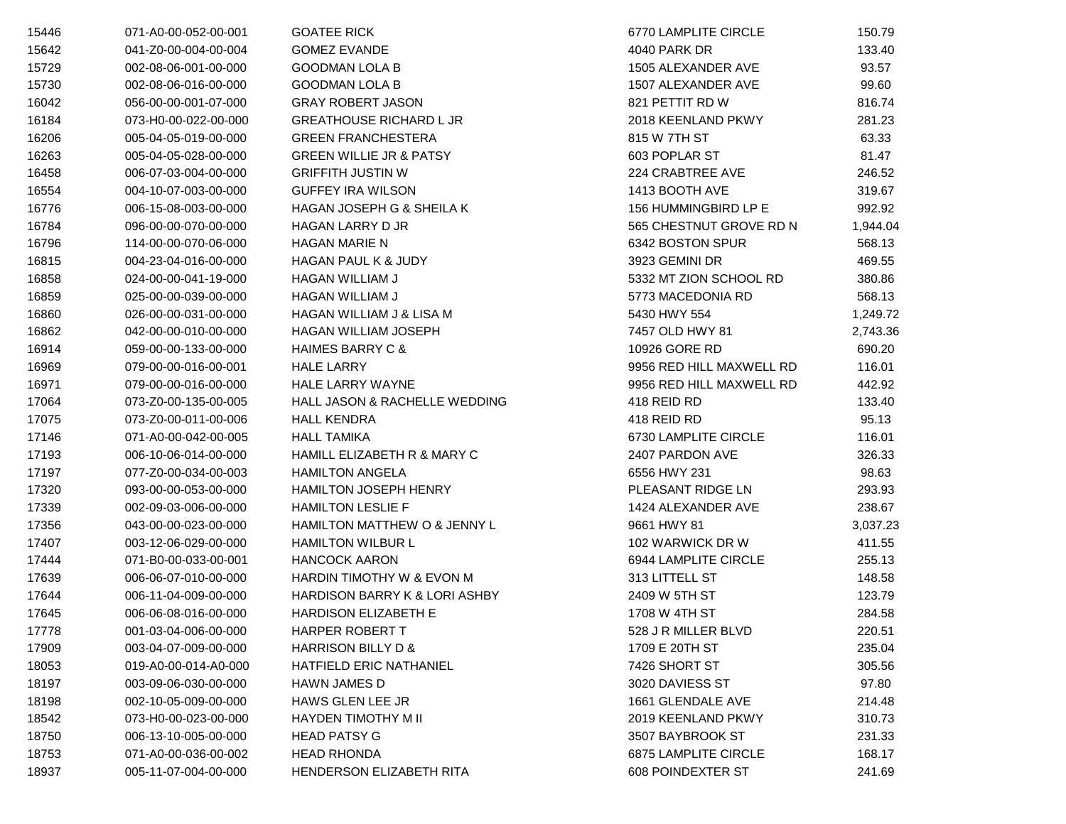| 15446 | 071-A0-00-052-00-001 | <b>GOATEE RICK</b>                 | 6770 LAMPLITE CIRCLE     | 150.79   |
|-------|----------------------|------------------------------------|--------------------------|----------|
| 15642 | 041-Z0-00-004-00-004 | <b>GOMEZ EVANDE</b>                | 4040 PARK DR             | 133.40   |
| 15729 | 002-08-06-001-00-000 | <b>GOODMAN LOLA B</b>              | 1505 ALEXANDER AVE       | 93.57    |
| 15730 | 002-08-06-016-00-000 | <b>GOODMAN LOLA B</b>              | 1507 ALEXANDER AVE       | 99.60    |
| 16042 | 056-00-00-001-07-000 | <b>GRAY ROBERT JASON</b>           | 821 PETTIT RD W          | 816.74   |
| 16184 | 073-H0-00-022-00-000 | <b>GREATHOUSE RICHARD L JR</b>     | 2018 KEENLAND PKWY       | 281.23   |
| 16206 | 005-04-05-019-00-000 | <b>GREEN FRANCHESTERA</b>          | 815 W 7TH ST             | 63.33    |
| 16263 | 005-04-05-028-00-000 | <b>GREEN WILLIE JR &amp; PATSY</b> | 603 POPLAR ST            | 81.47    |
| 16458 | 006-07-03-004-00-000 | <b>GRIFFITH JUSTIN W</b>           | 224 CRABTREE AVE         | 246.52   |
| 16554 | 004-10-07-003-00-000 | <b>GUFFEY IRA WILSON</b>           | 1413 BOOTH AVE           | 319.67   |
| 16776 | 006-15-08-003-00-000 | HAGAN JOSEPH G & SHEILA K          | 156 HUMMINGBIRD LP E     | 992.92   |
| 16784 | 096-00-00-070-00-000 | HAGAN LARRY D JR                   | 565 CHESTNUT GROVE RD N  | 1,944.04 |
| 16796 | 114-00-00-070-06-000 | <b>HAGAN MARIE N</b>               | 6342 BOSTON SPUR         | 568.13   |
| 16815 | 004-23-04-016-00-000 | HAGAN PAUL K & JUDY                | 3923 GEMINI DR           | 469.55   |
| 16858 | 024-00-00-041-19-000 | HAGAN WILLIAM J                    | 5332 MT ZION SCHOOL RD   | 380.86   |
| 16859 | 025-00-00-039-00-000 | <b>HAGAN WILLIAM J</b>             | 5773 MACEDONIA RD        | 568.13   |
| 16860 | 026-00-00-031-00-000 | HAGAN WILLIAM J & LISA M           | 5430 HWY 554             | 1,249.72 |
| 16862 | 042-00-00-010-00-000 | HAGAN WILLIAM JOSEPH               | 7457 OLD HWY 81          | 2,743.36 |
| 16914 | 059-00-00-133-00-000 | <b>HAIMES BARRY C &amp;</b>        | 10926 GORE RD            | 690.20   |
| 16969 | 079-00-00-016-00-001 | <b>HALE LARRY</b>                  | 9956 RED HILL MAXWELL RD | 116.01   |
| 16971 | 079-00-00-016-00-000 | <b>HALE LARRY WAYNE</b>            | 9956 RED HILL MAXWELL RD | 442.92   |
| 17064 | 073-Z0-00-135-00-005 | HALL JASON & RACHELLE WEDDING      | 418 REID RD              | 133.40   |
| 17075 | 073-Z0-00-011-00-006 | <b>HALL KENDRA</b>                 | 418 REID RD              | 95.13    |
| 17146 | 071-A0-00-042-00-005 | <b>HALL TAMIKA</b>                 | 6730 LAMPLITE CIRCLE     | 116.01   |
| 17193 | 006-10-06-014-00-000 | HAMILL ELIZABETH R & MARY C        | 2407 PARDON AVE          | 326.33   |
| 17197 | 077-Z0-00-034-00-003 | <b>HAMILTON ANGELA</b>             | 6556 HWY 231             | 98.63    |
| 17320 | 093-00-00-053-00-000 | HAMILTON JOSEPH HENRY              | PLEASANT RIDGE LN        | 293.93   |
| 17339 | 002-09-03-006-00-000 | <b>HAMILTON LESLIE F</b>           | 1424 ALEXANDER AVE       | 238.67   |
| 17356 | 043-00-00-023-00-000 | HAMILTON MATTHEW O & JENNY L       | 9661 HWY 81              | 3,037.23 |
| 17407 | 003-12-06-029-00-000 | <b>HAMILTON WILBUR L</b>           | 102 WARWICK DR W         | 411.55   |
| 17444 | 071-B0-00-033-00-001 | <b>HANCOCK AARON</b>               | 6944 LAMPLITE CIRCLE     | 255.13   |
| 17639 | 006-06-07-010-00-000 | HARDIN TIMOTHY W & EVON M          | 313 LITTELL ST           | 148.58   |
| 17644 | 006-11-04-009-00-000 | HARDISON BARRY K & LORI ASHBY      | 2409 W 5TH ST            | 123.79   |
| 17645 | 006-06-08-016-00-000 | HARDISON ELIZABETH E               | 1708 W 4TH ST            | 284.58   |
| 17778 | 001-03-04-006-00-000 | HARPER ROBERT T                    | 528 J R MILLER BLVD      | 220.51   |
| 17909 | 003-04-07-009-00-000 | HARRISON BILLY D &                 | 1709 E 20TH ST           | 235.04   |
| 18053 | 019-A0-00-014-A0-000 | <b>HATFIELD ERIC NATHANIEL</b>     | 7426 SHORT ST            | 305.56   |
| 18197 | 003-09-06-030-00-000 | <b>HAWN JAMES D</b>                | 3020 DAVIESS ST          | 97.80    |
| 18198 | 002-10-05-009-00-000 | HAWS GLEN LEE JR                   | 1661 GLENDALE AVE        | 214.48   |
| 18542 | 073-H0-00-023-00-000 | HAYDEN TIMOTHY M II                | 2019 KEENLAND PKWY       | 310.73   |
| 18750 | 006-13-10-005-00-000 | <b>HEAD PATSY G</b>                | 3507 BAYBROOK ST         | 231.33   |
| 18753 | 071-A0-00-036-00-002 | <b>HEAD RHONDA</b>                 | 6875 LAMPLITE CIRCLE     | 168.17   |
| 18937 | 005-11-07-004-00-000 | HENDERSON ELIZABETH RITA           | 608 POINDEXTER ST        | 241.69   |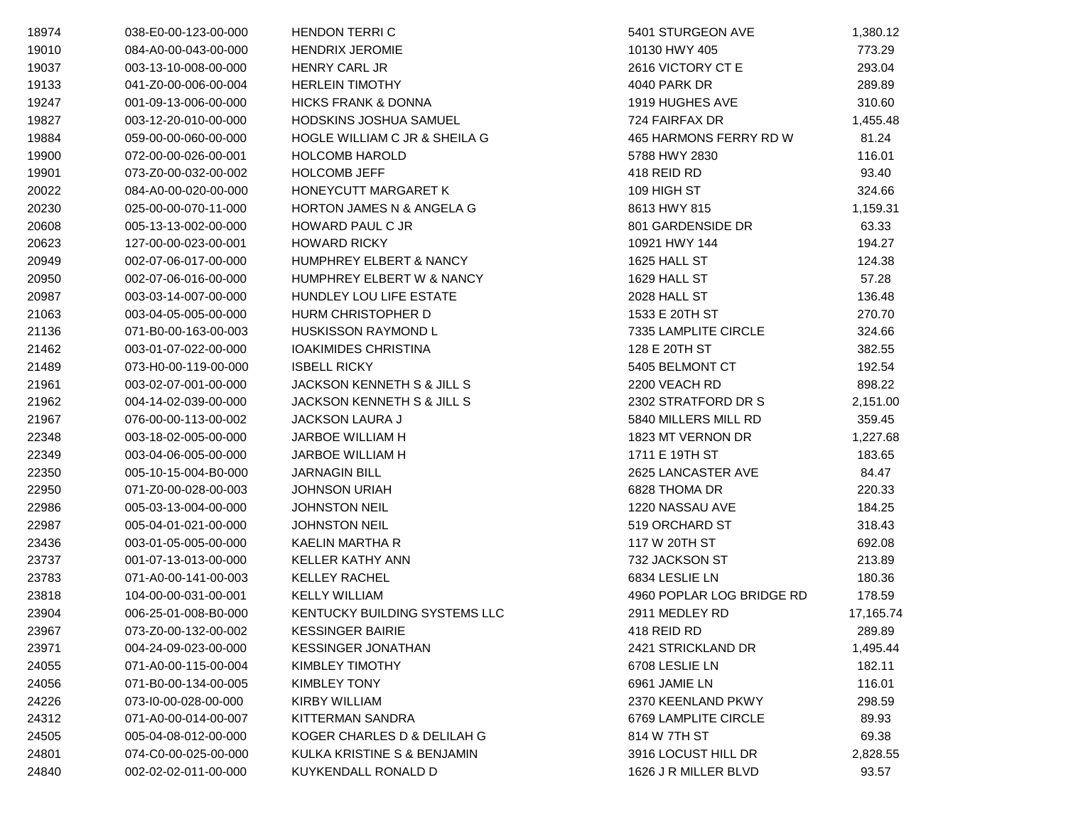| 18974 | 038-E0-00-123-00-000 | <b>HENDON TERRIC</b>               | 5401 STURGEON AVE         | 1,380.12  |
|-------|----------------------|------------------------------------|---------------------------|-----------|
| 19010 | 084-A0-00-043-00-000 | <b>HENDRIX JEROMIE</b>             | 10130 HWY 405             | 773.29    |
| 19037 | 003-13-10-008-00-000 | HENRY CARL JR                      | 2616 VICTORY CT E         | 293.04    |
| 19133 | 041-Z0-00-006-00-004 | <b>HERLEIN TIMOTHY</b>             | 4040 PARK DR              | 289.89    |
| 19247 | 001-09-13-006-00-000 | <b>HICKS FRANK &amp; DONNA</b>     | 1919 HUGHES AVE           | 310.60    |
| 19827 | 003-12-20-010-00-000 | HODSKINS JOSHUA SAMUEL             | 724 FAIRFAX DR            | 1,455.48  |
| 19884 | 059-00-00-060-00-000 | HOGLE WILLIAM C JR & SHEILA G      | 465 HARMONS FERRY RD W    | 81.24     |
| 19900 | 072-00-00-026-00-001 | <b>HOLCOMB HAROLD</b>              | 5788 HWY 2830             | 116.01    |
| 19901 | 073-Z0-00-032-00-002 | <b>HOLCOMB JEFF</b>                | 418 REID RD               | 93.40     |
| 20022 | 084-A0-00-020-00-000 | <b>HONEYCUTT MARGARET K</b>        | 109 HIGH ST               | 324.66    |
| 20230 | 025-00-00-070-11-000 | HORTON JAMES N & ANGELA G          | 8613 HWY 815              | 1,159.31  |
| 20608 | 005-13-13-002-00-000 | HOWARD PAUL C JR                   | 801 GARDENSIDE DR         | 63.33     |
| 20623 | 127-00-00-023-00-001 | <b>HOWARD RICKY</b>                | 10921 HWY 144             | 194.27    |
| 20949 | 002-07-06-017-00-000 | <b>HUMPHREY ELBERT &amp; NANCY</b> | 1625 HALL ST              | 124.38    |
| 20950 | 002-07-06-016-00-000 | HUMPHREY ELBERT W & NANCY          | 1629 HALL ST              | 57.28     |
| 20987 | 003-03-14-007-00-000 | HUNDLEY LOU LIFE ESTATE            | <b>2028 HALL ST</b>       | 136.48    |
| 21063 | 003-04-05-005-00-000 | HURM CHRISTOPHER D                 | 1533 E 20TH ST            | 270.70    |
| 21136 | 071-B0-00-163-00-003 | <b>HUSKISSON RAYMOND L</b>         | 7335 LAMPLITE CIRCLE      | 324.66    |
| 21462 | 003-01-07-022-00-000 | <b>IOAKIMIDES CHRISTINA</b>        | 128 E 20TH ST             | 382.55    |
| 21489 | 073-H0-00-119-00-000 | <b>ISBELL RICKY</b>                | 5405 BELMONT CT           | 192.54    |
| 21961 | 003-02-07-001-00-000 | JACKSON KENNETH S & JILL S         | 2200 VEACH RD             | 898.22    |
| 21962 | 004-14-02-039-00-000 | JACKSON KENNETH S & JILL S         | 2302 STRATFORD DR S       | 2,151.00  |
| 21967 | 076-00-00-113-00-002 | <b>JACKSON LAURA J</b>             | 5840 MILLERS MILL RD      | 359.45    |
| 22348 | 003-18-02-005-00-000 | JARBOE WILLIAM H                   | 1823 MT VERNON DR         | 1,227.68  |
| 22349 | 003-04-06-005-00-000 | <b>JARBOE WILLIAM H</b>            | 1711 E 19TH ST            | 183.65    |
| 22350 | 005-10-15-004-B0-000 | <b>JARNAGIN BILL</b>               | 2625 LANCASTER AVE        | 84.47     |
| 22950 | 071-Z0-00-028-00-003 | <b>JOHNSON URIAH</b>               | 6828 THOMA DR             | 220.33    |
| 22986 | 005-03-13-004-00-000 | <b>JOHNSTON NEIL</b>               | 1220 NASSAU AVE           | 184.25    |
| 22987 | 005-04-01-021-00-000 | <b>JOHNSTON NEIL</b>               | 519 ORCHARD ST            | 318.43    |
| 23436 | 003-01-05-005-00-000 | KAELIN MARTHA R                    | 117 W 20TH ST             | 692.08    |
| 23737 | 001-07-13-013-00-000 | <b>KELLER KATHY ANN</b>            | 732 JACKSON ST            | 213.89    |
| 23783 | 071-A0-00-141-00-003 | <b>KELLEY RACHEL</b>               | 6834 LESLIE LN            | 180.36    |
| 23818 | 104-00-00-031-00-001 | <b>KELLY WILLIAM</b>               | 4960 POPLAR LOG BRIDGE RD | 178.59    |
| 23904 | 006-25-01-008-B0-000 | KENTUCKY BUILDING SYSTEMS LLC      | 2911 MEDLEY RD            | 17,165.74 |
| 23967 | 073-Z0-00-132-00-002 | <b>KESSINGER BAIRIE</b>            | 418 REID RD               | 289.89    |
| 23971 | 004-24-09-023-00-000 | <b>KESSINGER JONATHAN</b>          | 2421 STRICKLAND DR        | 1,495.44  |
| 24055 | 071-A0-00-115-00-004 | KIMBLEY TIMOTHY                    | 6708 LESLIE LN            | 182.11    |
| 24056 | 071-B0-00-134-00-005 | KIMBLEY TONY                       | 6961 JAMIE LN             | 116.01    |
| 24226 | 073-I0-00-028-00-000 | <b>KIRBY WILLIAM</b>               | 2370 KEENLAND PKWY        | 298.59    |
| 24312 | 071-A0-00-014-00-007 | KITTERMAN SANDRA                   | 6769 LAMPLITE CIRCLE      | 89.93     |
| 24505 | 005-04-08-012-00-000 | KOGER CHARLES D & DELILAH G        | 814 W 7TH ST              | 69.38     |
| 24801 | 074-C0-00-025-00-000 | KULKA KRISTINE S & BENJAMIN        | 3916 LOCUST HILL DR       | 2,828.55  |
| 24840 | 002-02-02-011-00-000 | KUYKENDALL RONALD D                | 1626 J R MILLER BLVD      | 93.57     |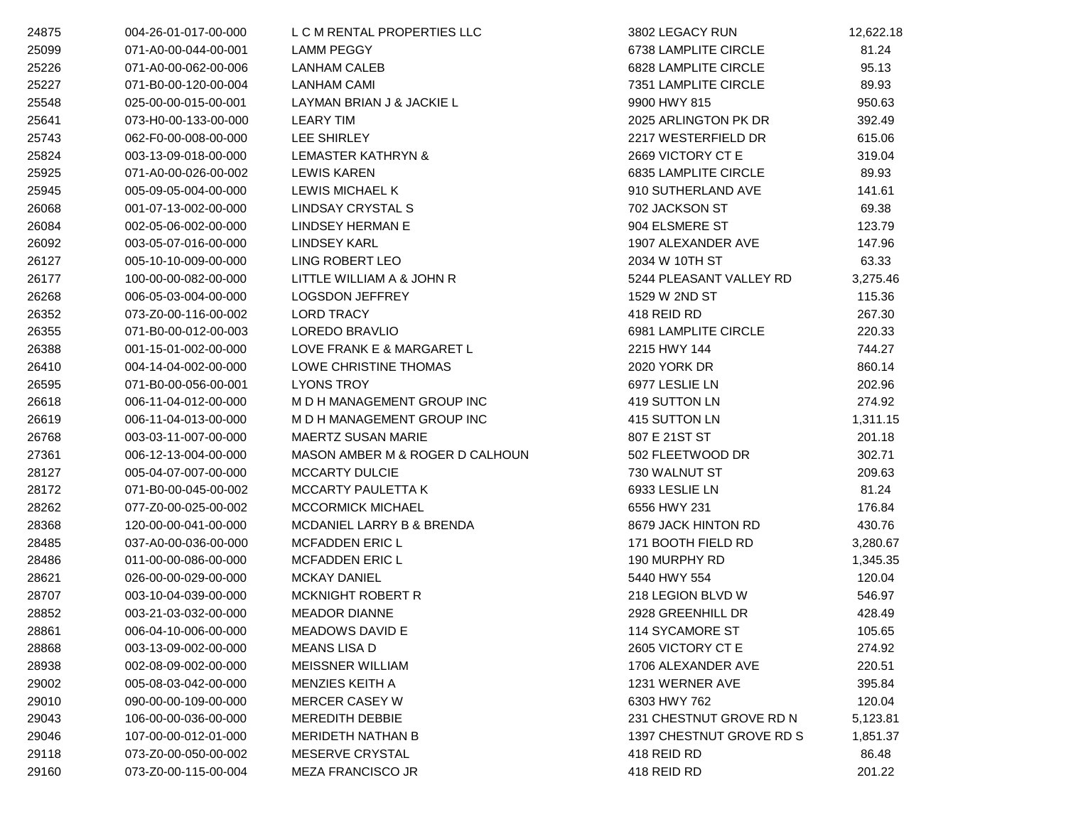| 24875 | 004-26-01-017-00-000 | L C M RENTAL PROPERTIES LLC     | 3802 LEGACY RUN          | 12,622.18 |
|-------|----------------------|---------------------------------|--------------------------|-----------|
| 25099 | 071-A0-00-044-00-001 | <b>LAMM PEGGY</b>               | 6738 LAMPLITE CIRCLE     | 81.24     |
| 25226 | 071-A0-00-062-00-006 | LANHAM CALEB                    | 6828 LAMPLITE CIRCLE     | 95.13     |
| 25227 | 071-B0-00-120-00-004 | <b>LANHAM CAMI</b>              | 7351 LAMPLITE CIRCLE     | 89.93     |
| 25548 | 025-00-00-015-00-001 | LAYMAN BRIAN J & JACKIE L       | 9900 HWY 815             | 950.63    |
| 25641 | 073-H0-00-133-00-000 | <b>LEARY TIM</b>                | 2025 ARLINGTON PK DR     | 392.49    |
| 25743 | 062-F0-00-008-00-000 | LEE SHIRLEY                     | 2217 WESTERFIELD DR      | 615.06    |
| 25824 | 003-13-09-018-00-000 | LEMASTER KATHRYN &              | 2669 VICTORY CT E        | 319.04    |
| 25925 | 071-A0-00-026-00-002 | <b>LEWIS KAREN</b>              | 6835 LAMPLITE CIRCLE     | 89.93     |
| 25945 | 005-09-05-004-00-000 | LEWIS MICHAEL K                 | 910 SUTHERLAND AVE       | 141.61    |
| 26068 | 001-07-13-002-00-000 | LINDSAY CRYSTAL S               | 702 JACKSON ST           | 69.38     |
| 26084 | 002-05-06-002-00-000 | LINDSEY HERMAN E                | 904 ELSMERE ST           | 123.79    |
| 26092 | 003-05-07-016-00-000 | <b>LINDSEY KARL</b>             | 1907 ALEXANDER AVE       | 147.96    |
| 26127 | 005-10-10-009-00-000 | LING ROBERT LEO                 | 2034 W 10TH ST           | 63.33     |
| 26177 | 100-00-00-082-00-000 | LITTLE WILLIAM A & JOHN R       | 5244 PLEASANT VALLEY RD  | 3,275.46  |
| 26268 | 006-05-03-004-00-000 | <b>LOGSDON JEFFREY</b>          | 1529 W 2ND ST            | 115.36    |
| 26352 | 073-Z0-00-116-00-002 | <b>LORD TRACY</b>               | 418 REID RD              | 267.30    |
| 26355 | 071-B0-00-012-00-003 | LOREDO BRAVLIO                  | 6981 LAMPLITE CIRCLE     | 220.33    |
| 26388 | 001-15-01-002-00-000 | LOVE FRANK E & MARGARET L       | 2215 HWY 144             | 744.27    |
| 26410 | 004-14-04-002-00-000 | LOWE CHRISTINE THOMAS           | 2020 YORK DR             | 860.14    |
| 26595 | 071-B0-00-056-00-001 | <b>LYONS TROY</b>               | 6977 LESLIE LN           | 202.96    |
| 26618 | 006-11-04-012-00-000 | M D H MANAGEMENT GROUP INC      | 419 SUTTON LN            | 274.92    |
| 26619 | 006-11-04-013-00-000 | M D H MANAGEMENT GROUP INC      | 415 SUTTON LN            | 1,311.15  |
| 26768 | 003-03-11-007-00-000 | <b>MAERTZ SUSAN MARIE</b>       | 807 E 21ST ST            | 201.18    |
| 27361 | 006-12-13-004-00-000 | MASON AMBER M & ROGER D CALHOUN | 502 FLEETWOOD DR         | 302.71    |
| 28127 | 005-04-07-007-00-000 | <b>MCCARTY DULCIE</b>           | 730 WALNUT ST            | 209.63    |
| 28172 | 071-B0-00-045-00-002 | MCCARTY PAULETTA K              | 6933 LESLIE LN           | 81.24     |
| 28262 | 077-Z0-00-025-00-002 | <b>MCCORMICK MICHAEL</b>        | 6556 HWY 231             | 176.84    |
| 28368 | 120-00-00-041-00-000 | MCDANIEL LARRY B & BRENDA       | 8679 JACK HINTON RD      | 430.76    |
| 28485 | 037-A0-00-036-00-000 | <b>MCFADDEN ERIC L</b>          | 171 BOOTH FIELD RD       | 3,280.67  |
| 28486 | 011-00-00-086-00-000 | <b>MCFADDEN ERIC L</b>          | 190 MURPHY RD            | 1,345.35  |
| 28621 | 026-00-00-029-00-000 | <b>MCKAY DANIEL</b>             | 5440 HWY 554             | 120.04    |
| 28707 | 003-10-04-039-00-000 | MCKNIGHT ROBERT R               | 218 LEGION BLVD W        | 546.97    |
| 28852 | 003-21-03-032-00-000 | <b>MEADOR DIANNE</b>            | 2928 GREENHILL DR        | 428.49    |
| 28861 | 006-04-10-006-00-000 | MEADOWS DAVID E                 | 114 SYCAMORE ST          | 105.65    |
| 28868 | 003-13-09-002-00-000 | MEANS LISA D                    | 2605 VICTORY CT E        | 274.92    |
| 28938 | 002-08-09-002-00-000 | <b>MEISSNER WILLIAM</b>         | 1706 ALEXANDER AVE       | 220.51    |
| 29002 | 005-08-03-042-00-000 | MENZIES KEITH A                 | 1231 WERNER AVE          | 395.84    |
| 29010 | 090-00-00-109-00-000 | <b>MERCER CASEY W</b>           | 6303 HWY 762             | 120.04    |
| 29043 | 106-00-00-036-00-000 | <b>MEREDITH DEBBIE</b>          | 231 CHESTNUT GROVE RD N  | 5,123.81  |
| 29046 | 107-00-00-012-01-000 | <b>MERIDETH NATHAN B</b>        | 1397 CHESTNUT GROVE RD S | 1,851.37  |
| 29118 | 073-Z0-00-050-00-002 | MESERVE CRYSTAL                 | 418 REID RD              | 86.48     |
| 29160 | 073-Z0-00-115-00-004 | MEZA FRANCISCO JR               | 418 REID RD              | 201.22    |
|       |                      |                                 |                          |           |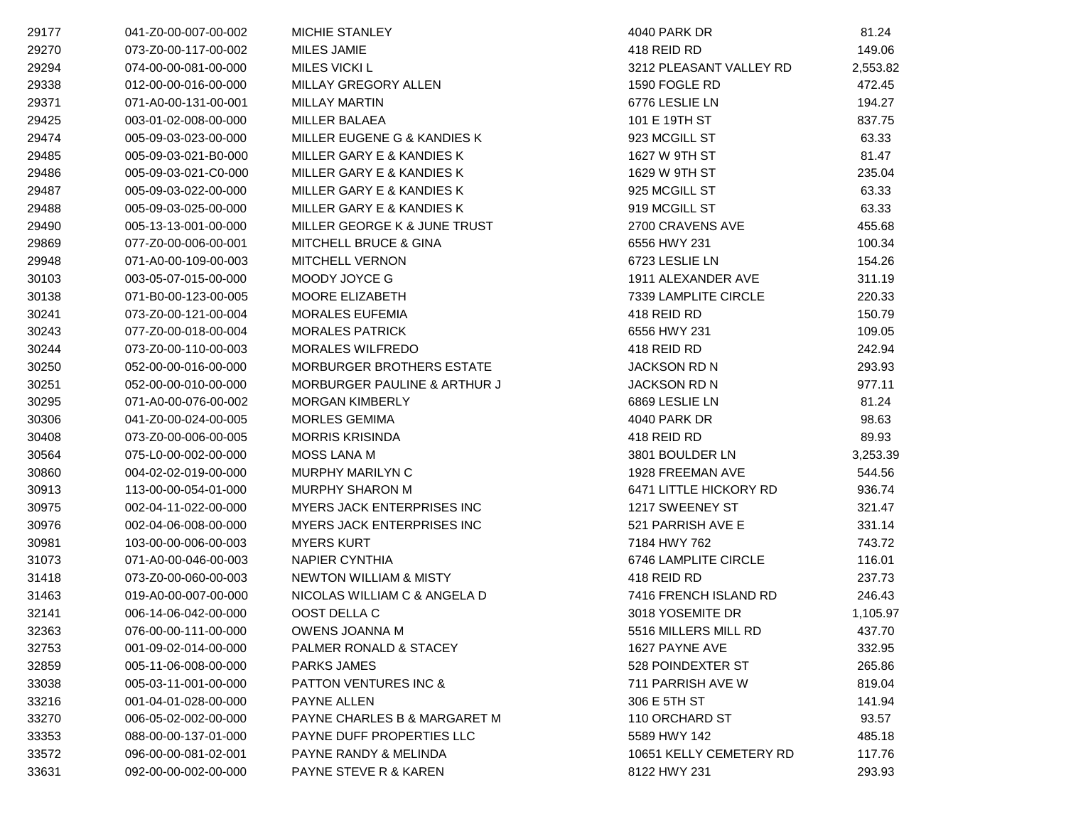| 29177 | 041-Z0-00-007-00-002 | MICHIE STANLEY                    | 4040 PARK DR            | 81.24    |
|-------|----------------------|-----------------------------------|-------------------------|----------|
| 29270 | 073-Z0-00-117-00-002 | <b>MILES JAMIE</b>                | 418 REID RD             | 149.06   |
| 29294 | 074-00-00-081-00-000 | MILES VICKI L                     | 3212 PLEASANT VALLEY RD | 2,553.82 |
| 29338 | 012-00-00-016-00-000 | MILLAY GREGORY ALLEN              | 1590 FOGLE RD           | 472.45   |
| 29371 | 071-A0-00-131-00-001 | <b>MILLAY MARTIN</b>              | 6776 LESLIE LN          | 194.27   |
| 29425 | 003-01-02-008-00-000 | <b>MILLER BALAEA</b>              | 101 E 19TH ST           | 837.75   |
| 29474 | 005-09-03-023-00-000 | MILLER EUGENE G & KANDIES K       | 923 MCGILL ST           | 63.33    |
| 29485 | 005-09-03-021-B0-000 | MILLER GARY E & KANDIES K         | 1627 W 9TH ST           | 81.47    |
| 29486 | 005-09-03-021-C0-000 | MILLER GARY E & KANDIES K         | 1629 W 9TH ST           | 235.04   |
| 29487 | 005-09-03-022-00-000 | MILLER GARY E & KANDIES K         | 925 MCGILL ST           | 63.33    |
| 29488 | 005-09-03-025-00-000 | MILLER GARY E & KANDIES K         | 919 MCGILL ST           | 63.33    |
| 29490 | 005-13-13-001-00-000 | MILLER GEORGE K & JUNE TRUST      | 2700 CRAVENS AVE        | 455.68   |
| 29869 | 077-Z0-00-006-00-001 | MITCHELL BRUCE & GINA             | 6556 HWY 231            | 100.34   |
| 29948 | 071-A0-00-109-00-003 | <b>MITCHELL VERNON</b>            | 6723 LESLIE LN          | 154.26   |
| 30103 | 003-05-07-015-00-000 | MOODY JOYCE G                     | 1911 ALEXANDER AVE      | 311.19   |
| 30138 | 071-B0-00-123-00-005 | MOORE ELIZABETH                   | 7339 LAMPLITE CIRCLE    | 220.33   |
| 30241 | 073-Z0-00-121-00-004 | MORALES EUFEMIA                   | 418 REID RD             | 150.79   |
| 30243 | 077-Z0-00-018-00-004 | <b>MORALES PATRICK</b>            | 6556 HWY 231            | 109.05   |
| 30244 | 073-Z0-00-110-00-003 | <b>MORALES WILFREDO</b>           | 418 REID RD             | 242.94   |
| 30250 | 052-00-00-016-00-000 | MORBURGER BROTHERS ESTATE         | <b>JACKSON RD N</b>     | 293.93   |
| 30251 | 052-00-00-010-00-000 | MORBURGER PAULINE & ARTHUR J      | <b>JACKSON RD N</b>     | 977.11   |
| 30295 | 071-A0-00-076-00-002 | <b>MORGAN KIMBERLY</b>            | 6869 LESLIE LN          | 81.24    |
| 30306 | 041-Z0-00-024-00-005 | <b>MORLES GEMIMA</b>              | 4040 PARK DR            | 98.63    |
| 30408 | 073-Z0-00-006-00-005 | <b>MORRIS KRISINDA</b>            | 418 REID RD             | 89.93    |
| 30564 | 075-L0-00-002-00-000 | <b>MOSS LANA M</b>                | 3801 BOULDER LN         | 3,253.39 |
| 30860 | 004-02-02-019-00-000 | <b>MURPHY MARILYN C</b>           | 1928 FREEMAN AVE        | 544.56   |
| 30913 | 113-00-00-054-01-000 | <b>MURPHY SHARON M</b>            | 6471 LITTLE HICKORY RD  | 936.74   |
| 30975 | 002-04-11-022-00-000 | MYERS JACK ENTERPRISES INC        | 1217 SWEENEY ST         | 321.47   |
| 30976 | 002-04-06-008-00-000 | MYERS JACK ENTERPRISES INC        | 521 PARRISH AVE E       | 331.14   |
| 30981 | 103-00-00-006-00-003 | <b>MYERS KURT</b>                 | 7184 HWY 762            | 743.72   |
| 31073 | 071-A0-00-046-00-003 | <b>NAPIER CYNTHIA</b>             | 6746 LAMPLITE CIRCLE    | 116.01   |
| 31418 | 073-Z0-00-060-00-003 | <b>NEWTON WILLIAM &amp; MISTY</b> | 418 REID RD             | 237.73   |
| 31463 | 019-A0-00-007-00-000 | NICOLAS WILLIAM C & ANGELA D      | 7416 FRENCH ISLAND RD   | 246.43   |
| 32141 | 006-14-06-042-00-000 | OOST DELLA C                      | 3018 YOSEMITE DR        | 1,105.97 |
| 32363 | 076-00-00-111-00-000 | OWENS JOANNA M                    | 5516 MILLERS MILL RD    | 437.70   |
| 32753 | 001-09-02-014-00-000 | PALMER RONALD & STACEY            | 1627 PAYNE AVE          | 332.95   |
| 32859 | 005-11-06-008-00-000 | <b>PARKS JAMES</b>                | 528 POINDEXTER ST       | 265.86   |
| 33038 | 005-03-11-001-00-000 | <b>PATTON VENTURES INC &amp;</b>  | 711 PARRISH AVE W       | 819.04   |
| 33216 | 001-04-01-028-00-000 | PAYNE ALLEN                       | 306 E 5TH ST            | 141.94   |
| 33270 | 006-05-02-002-00-000 | PAYNE CHARLES B & MARGARET M      | 110 ORCHARD ST          | 93.57    |
| 33353 | 088-00-00-137-01-000 | PAYNE DUFF PROPERTIES LLC         | 5589 HWY 142            | 485.18   |
| 33572 | 096-00-00-081-02-001 | PAYNE RANDY & MELINDA             | 10651 KELLY CEMETERY RD | 117.76   |
| 33631 | 092-00-00-002-00-000 | PAYNE STEVE R & KAREN             | 8122 HWY 231            | 293.93   |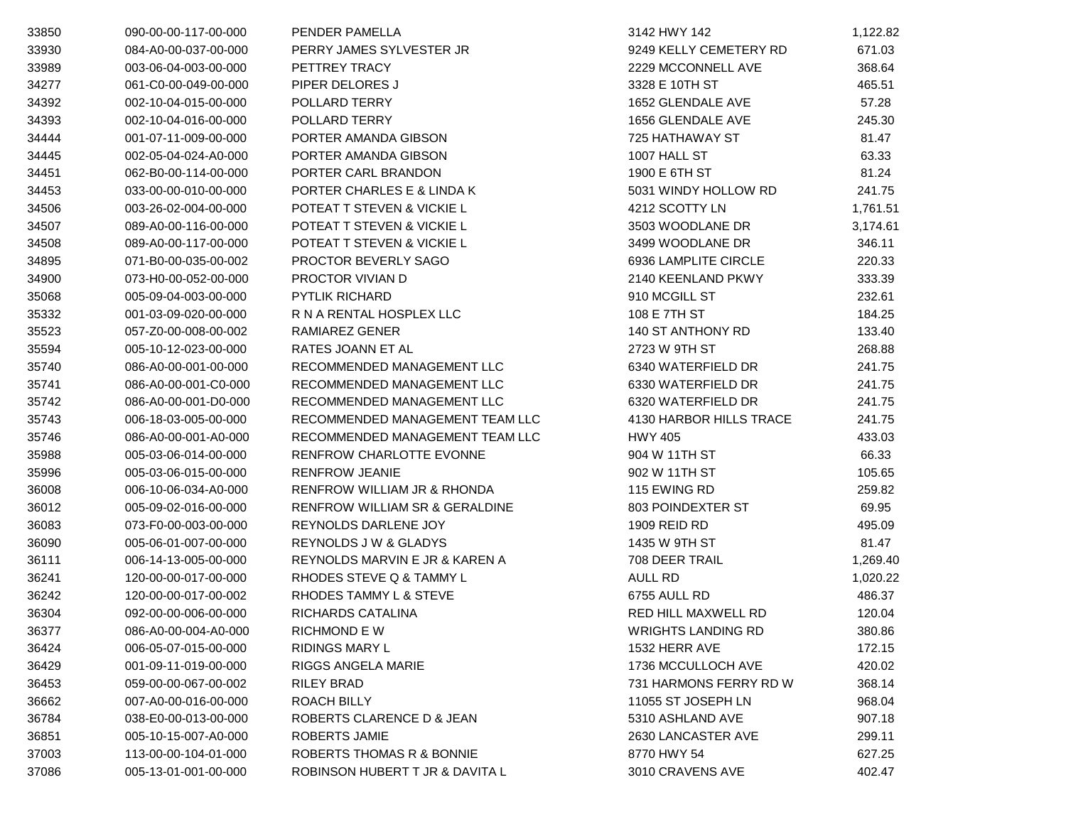| 33850 | 090-00-00-117-00-000 | PENDER PAMELLA                            | 3142 HWY 142              | 1,122.82 |
|-------|----------------------|-------------------------------------------|---------------------------|----------|
| 33930 | 084-A0-00-037-00-000 | PERRY JAMES SYLVESTER JR                  | 9249 KELLY CEMETERY RD    | 671.03   |
| 33989 | 003-06-04-003-00-000 | PETTREY TRACY                             | 2229 MCCONNELL AVE        | 368.64   |
| 34277 | 061-C0-00-049-00-000 | PIPER DELORES J                           | 3328 E 10TH ST            | 465.51   |
| 34392 | 002-10-04-015-00-000 | POLLARD TERRY                             | 1652 GLENDALE AVE         | 57.28    |
| 34393 | 002-10-04-016-00-000 | POLLARD TERRY                             | 1656 GLENDALE AVE         | 245.30   |
| 34444 | 001-07-11-009-00-000 | PORTER AMANDA GIBSON                      | 725 HATHAWAY ST           | 81.47    |
| 34445 | 002-05-04-024-A0-000 | PORTER AMANDA GIBSON                      | 1007 HALL ST              | 63.33    |
| 34451 | 062-B0-00-114-00-000 | PORTER CARL BRANDON                       | 1900 E 6TH ST             | 81.24    |
| 34453 | 033-00-00-010-00-000 | PORTER CHARLES E & LINDA K                | 5031 WINDY HOLLOW RD      | 241.75   |
| 34506 | 003-26-02-004-00-000 | POTEAT T STEVEN & VICKIE L                | 4212 SCOTTY LN            | 1,761.51 |
| 34507 | 089-A0-00-116-00-000 | POTEAT T STEVEN & VICKIE L                | 3503 WOODLANE DR          | 3,174.61 |
| 34508 | 089-A0-00-117-00-000 | POTEAT T STEVEN & VICKIE L                | 3499 WOODLANE DR          | 346.11   |
| 34895 | 071-B0-00-035-00-002 | PROCTOR BEVERLY SAGO                      | 6936 LAMPLITE CIRCLE      | 220.33   |
| 34900 | 073-H0-00-052-00-000 | PROCTOR VIVIAN D                          | 2140 KEENLAND PKWY        | 333.39   |
| 35068 | 005-09-04-003-00-000 | <b>PYTLIK RICHARD</b>                     | 910 MCGILL ST             | 232.61   |
| 35332 | 001-03-09-020-00-000 | R N A RENTAL HOSPLEX LLC                  | 108 E 7TH ST              | 184.25   |
| 35523 | 057-Z0-00-008-00-002 | RAMIAREZ GENER                            | 140 ST ANTHONY RD         | 133.40   |
| 35594 | 005-10-12-023-00-000 | RATES JOANN ET AL                         | 2723 W 9TH ST             | 268.88   |
| 35740 | 086-A0-00-001-00-000 | RECOMMENDED MANAGEMENT LLC                | 6340 WATERFIELD DR        | 241.75   |
| 35741 | 086-A0-00-001-C0-000 | RECOMMENDED MANAGEMENT LLC                | 6330 WATERFIELD DR        | 241.75   |
| 35742 | 086-A0-00-001-D0-000 | RECOMMENDED MANAGEMENT LLC                | 6320 WATERFIELD DR        | 241.75   |
| 35743 | 006-18-03-005-00-000 | RECOMMENDED MANAGEMENT TEAM LLC           | 4130 HARBOR HILLS TRACE   | 241.75   |
| 35746 | 086-A0-00-001-A0-000 | RECOMMENDED MANAGEMENT TEAM LLC           | <b>HWY 405</b>            | 433.03   |
| 35988 | 005-03-06-014-00-000 | RENFROW CHARLOTTE EVONNE                  | 904 W 11TH ST             | 66.33    |
| 35996 | 005-03-06-015-00-000 | <b>RENFROW JEANIE</b>                     | 902 W 11TH ST             | 105.65   |
| 36008 | 006-10-06-034-A0-000 | RENFROW WILLIAM JR & RHONDA               | 115 EWING RD              | 259.82   |
| 36012 | 005-09-02-016-00-000 | <b>RENFROW WILLIAM SR &amp; GERALDINE</b> | 803 POINDEXTER ST         | 69.95    |
| 36083 | 073-F0-00-003-00-000 | REYNOLDS DARLENE JOY                      | 1909 REID RD              | 495.09   |
| 36090 | 005-06-01-007-00-000 | <b>REYNOLDS J W &amp; GLADYS</b>          | 1435 W 9TH ST             | 81.47    |
| 36111 | 006-14-13-005-00-000 | REYNOLDS MARVIN E JR & KAREN A            | 708 DEER TRAIL            | 1,269.40 |
| 36241 | 120-00-00-017-00-000 | RHODES STEVE Q & TAMMY L                  | AULL RD                   | 1,020.22 |
| 36242 | 120-00-00-017-00-002 | RHODES TAMMY L & STEVE                    | 6755 AULL RD              | 486.37   |
| 36304 | 092-00-00-006-00-000 | RICHARDS CATALINA                         | RED HILL MAXWELL RD       | 120.04   |
| 36377 | 086-A0-00-004-A0-000 | RICHMOND E W                              | <b>WRIGHTS LANDING RD</b> | 380.86   |
| 36424 | 006-05-07-015-00-000 | <b>RIDINGS MARY L</b>                     | 1532 HERR AVE             | 172.15   |
| 36429 | 001-09-11-019-00-000 | <b>RIGGS ANGELA MARIE</b>                 | 1736 MCCULLOCH AVE        | 420.02   |
| 36453 | 059-00-00-067-00-002 | RILEY BRAD                                | 731 HARMONS FERRY RD W    | 368.14   |
| 36662 | 007-A0-00-016-00-000 | ROACH BILLY                               | 11055 ST JOSEPH LN        | 968.04   |
| 36784 | 038-E0-00-013-00-000 | ROBERTS CLARENCE D & JEAN                 | 5310 ASHLAND AVE          | 907.18   |
| 36851 | 005-10-15-007-A0-000 | ROBERTS JAMIE                             | 2630 LANCASTER AVE        | 299.11   |
| 37003 | 113-00-00-104-01-000 | ROBERTS THOMAS R & BONNIE                 | 8770 HWY 54               | 627.25   |
| 37086 | 005-13-01-001-00-000 | ROBINSON HUBERT T JR & DAVITA L           | 3010 CRAVENS AVE          | 402.47   |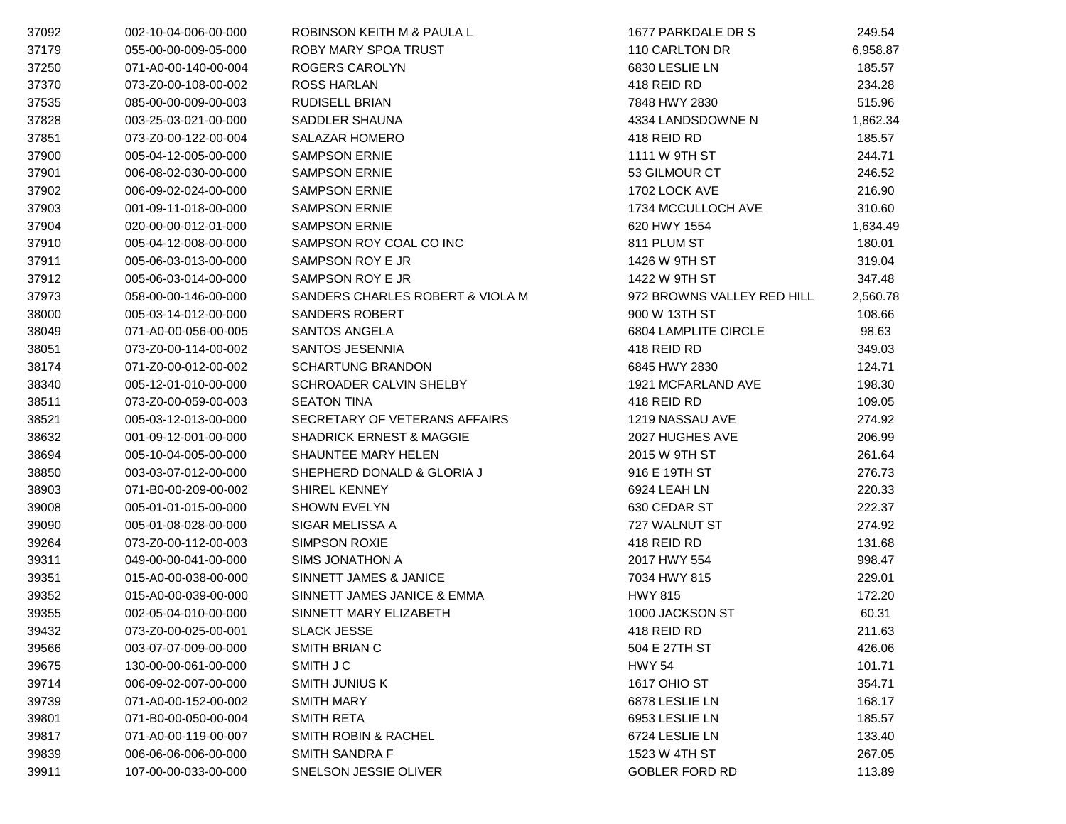| 37092 | 002-10-04-006-00-000 | ROBINSON KEITH M & PAULA L          | 1677 PARKDALE DR S         | 249.54   |
|-------|----------------------|-------------------------------------|----------------------------|----------|
| 37179 | 055-00-00-009-05-000 | ROBY MARY SPOA TRUST                | 110 CARLTON DR             | 6,958.87 |
| 37250 | 071-A0-00-140-00-004 | ROGERS CAROLYN                      | 6830 LESLIE LN             | 185.57   |
| 37370 | 073-Z0-00-108-00-002 | <b>ROSS HARLAN</b>                  | 418 REID RD                | 234.28   |
| 37535 | 085-00-00-009-00-003 | RUDISELL BRIAN                      | 7848 HWY 2830              | 515.96   |
| 37828 | 003-25-03-021-00-000 | SADDLER SHAUNA                      | 4334 LANDSDOWNE N          | 1,862.34 |
| 37851 | 073-Z0-00-122-00-004 | <b>SALAZAR HOMERO</b>               | 418 REID RD                | 185.57   |
| 37900 | 005-04-12-005-00-000 | <b>SAMPSON ERNIE</b>                | 1111 W 9TH ST              | 244.71   |
| 37901 | 006-08-02-030-00-000 | <b>SAMPSON ERNIE</b>                | 53 GILMOUR CT              | 246.52   |
| 37902 | 006-09-02-024-00-000 | <b>SAMPSON ERNIE</b>                | 1702 LOCK AVE              | 216.90   |
| 37903 | 001-09-11-018-00-000 | <b>SAMPSON ERNIE</b>                | 1734 MCCULLOCH AVE         | 310.60   |
| 37904 | 020-00-00-012-01-000 | <b>SAMPSON ERNIE</b>                | 620 HWY 1554               | 1,634.49 |
| 37910 | 005-04-12-008-00-000 | SAMPSON ROY COAL CO INC             | 811 PLUM ST                | 180.01   |
| 37911 | 005-06-03-013-00-000 | SAMPSON ROY E JR                    | 1426 W 9TH ST              | 319.04   |
| 37912 | 005-06-03-014-00-000 | SAMPSON ROY E JR                    | 1422 W 9TH ST              | 347.48   |
| 37973 | 058-00-00-146-00-000 | SANDERS CHARLES ROBERT & VIOLA M    | 972 BROWNS VALLEY RED HILL | 2,560.78 |
| 38000 | 005-03-14-012-00-000 | <b>SANDERS ROBERT</b>               | 900 W 13TH ST              | 108.66   |
| 38049 | 071-A0-00-056-00-005 | <b>SANTOS ANGELA</b>                | 6804 LAMPLITE CIRCLE       | 98.63    |
| 38051 | 073-Z0-00-114-00-002 | SANTOS JESENNIA                     | 418 REID RD                | 349.03   |
| 38174 | 071-Z0-00-012-00-002 | <b>SCHARTUNG BRANDON</b>            | 6845 HWY 2830              | 124.71   |
| 38340 | 005-12-01-010-00-000 | SCHROADER CALVIN SHELBY             | 1921 MCFARLAND AVE         | 198.30   |
| 38511 | 073-Z0-00-059-00-003 | <b>SEATON TINA</b>                  | 418 REID RD                | 109.05   |
| 38521 | 005-03-12-013-00-000 | SECRETARY OF VETERANS AFFAIRS       | 1219 NASSAU AVE            | 274.92   |
| 38632 | 001-09-12-001-00-000 | <b>SHADRICK ERNEST &amp; MAGGIE</b> | 2027 HUGHES AVE            | 206.99   |
| 38694 | 005-10-04-005-00-000 | SHAUNTEE MARY HELEN                 | 2015 W 9TH ST              | 261.64   |
| 38850 | 003-03-07-012-00-000 | SHEPHERD DONALD & GLORIA J          | 916 E 19TH ST              | 276.73   |
| 38903 | 071-B0-00-209-00-002 | <b>SHIREL KENNEY</b>                | 6924 LEAH LN               | 220.33   |
| 39008 | 005-01-01-015-00-000 | <b>SHOWN EVELYN</b>                 | 630 CEDAR ST               | 222.37   |
| 39090 | 005-01-08-028-00-000 | SIGAR MELISSA A                     | 727 WALNUT ST              | 274.92   |
| 39264 | 073-Z0-00-112-00-003 | <b>SIMPSON ROXIE</b>                | 418 REID RD                | 131.68   |
| 39311 | 049-00-00-041-00-000 | <b>SIMS JONATHON A</b>              | 2017 HWY 554               | 998.47   |
| 39351 | 015-A0-00-038-00-000 | SINNETT JAMES & JANICE              | 7034 HWY 815               | 229.01   |
| 39352 | 015-A0-00-039-00-000 | SINNETT JAMES JANICE & EMMA         | <b>HWY 815</b>             | 172.20   |
| 39355 | 002-05-04-010-00-000 | SINNETT MARY ELIZABETH              | 1000 JACKSON ST            | 60.31    |
| 39432 | 073-Z0-00-025-00-001 | <b>SLACK JESSE</b>                  | 418 REID RD                | 211.63   |
| 39566 | 003-07-07-009-00-000 | SMITH BRIAN C                       | 504 E 27TH ST              | 426.06   |
| 39675 | 130-00-00-061-00-000 | SMITH J C                           | <b>HWY 54</b>              | 101.71   |
| 39714 | 006-09-02-007-00-000 | <b>SMITH JUNIUS K</b>               | <b>1617 OHIO ST</b>        | 354.71   |
| 39739 | 071-A0-00-152-00-002 | <b>SMITH MARY</b>                   | 6878 LESLIE LN             | 168.17   |
| 39801 | 071-B0-00-050-00-004 | <b>SMITH RETA</b>                   | 6953 LESLIE LN             | 185.57   |
| 39817 | 071-A0-00-119-00-007 | <b>SMITH ROBIN &amp; RACHEL</b>     | 6724 LESLIE LN             | 133.40   |
| 39839 | 006-06-06-006-00-000 | <b>SMITH SANDRA F</b>               | 1523 W 4TH ST              | 267.05   |
| 39911 | 107-00-00-033-00-000 | SNELSON JESSIE OLIVER               | <b>GOBLER FORD RD</b>      | 113.89   |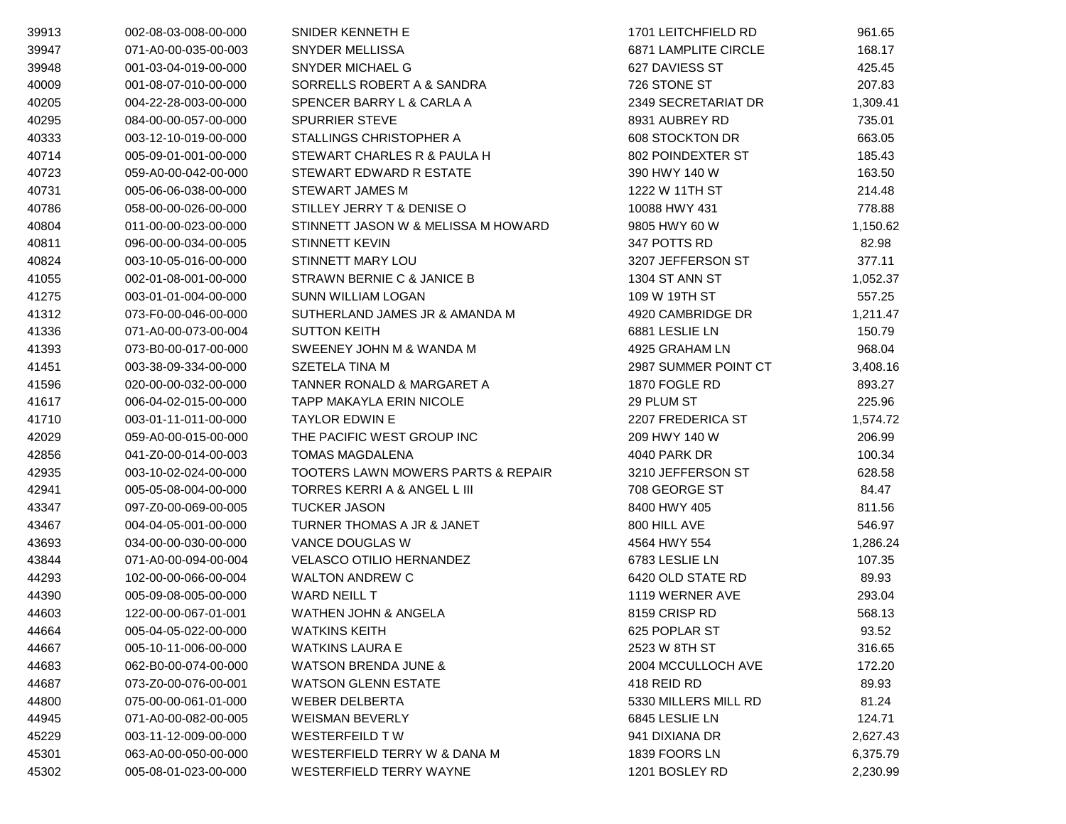| 39913 | 002-08-03-008-00-000 | SNIDER KENNETH E                              | 1701 LEITCHFIELD RD         | 961.65   |
|-------|----------------------|-----------------------------------------------|-----------------------------|----------|
| 39947 | 071-A0-00-035-00-003 | SNYDER MELLISSA                               | <b>6871 LAMPLITE CIRCLE</b> | 168.17   |
| 39948 | 001-03-04-019-00-000 | <b>SNYDER MICHAEL G</b>                       | 627 DAVIESS ST              | 425.45   |
| 40009 | 001-08-07-010-00-000 | SORRELLS ROBERT A & SANDRA                    | 726 STONE ST                | 207.83   |
| 40205 | 004-22-28-003-00-000 | SPENCER BARRY L & CARLA A                     | 2349 SECRETARIAT DR         | 1,309.41 |
| 40295 | 084-00-00-057-00-000 | <b>SPURRIER STEVE</b>                         | 8931 AUBREY RD              | 735.01   |
| 40333 | 003-12-10-019-00-000 | STALLINGS CHRISTOPHER A                       | 608 STOCKTON DR             | 663.05   |
| 40714 | 005-09-01-001-00-000 | STEWART CHARLES R & PAULA H                   | 802 POINDEXTER ST           | 185.43   |
| 40723 | 059-A0-00-042-00-000 | STEWART EDWARD R ESTATE                       | 390 HWY 140 W               | 163.50   |
| 40731 | 005-06-06-038-00-000 | STEWART JAMES M                               | 1222 W 11TH ST              | 214.48   |
| 40786 | 058-00-00-026-00-000 | STILLEY JERRY T & DENISE O                    | 10088 HWY 431               | 778.88   |
| 40804 | 011-00-00-023-00-000 | STINNETT JASON W & MELISSA M HOWARD           | 9805 HWY 60 W               | 1,150.62 |
| 40811 | 096-00-00-034-00-005 | <b>STINNETT KEVIN</b>                         | 347 POTTS RD                | 82.98    |
| 40824 | 003-10-05-016-00-000 | STINNETT MARY LOU                             | 3207 JEFFERSON ST           | 377.11   |
| 41055 | 002-01-08-001-00-000 | STRAWN BERNIE C & JANICE B                    | 1304 ST ANN ST              | 1,052.37 |
| 41275 | 003-01-01-004-00-000 | <b>SUNN WILLIAM LOGAN</b>                     | 109 W 19TH ST               | 557.25   |
| 41312 | 073-F0-00-046-00-000 | SUTHERLAND JAMES JR & AMANDA M                | 4920 CAMBRIDGE DR           | 1,211.47 |
| 41336 | 071-A0-00-073-00-004 | <b>SUTTON KEITH</b>                           | 6881 LESLIE LN              | 150.79   |
| 41393 | 073-B0-00-017-00-000 | SWEENEY JOHN M & WANDA M                      | 4925 GRAHAM LN              | 968.04   |
| 41451 | 003-38-09-334-00-000 | SZETELA TINA M                                | 2987 SUMMER POINT CT        | 3,408.16 |
| 41596 | 020-00-00-032-00-000 | TANNER RONALD & MARGARET A                    | 1870 FOGLE RD               | 893.27   |
| 41617 | 006-04-02-015-00-000 | TAPP MAKAYLA ERIN NICOLE                      | 29 PLUM ST                  | 225.96   |
| 41710 | 003-01-11-011-00-000 | <b>TAYLOR EDWIN E</b>                         | 2207 FREDERICA ST           | 1,574.72 |
| 42029 | 059-A0-00-015-00-000 | THE PACIFIC WEST GROUP INC                    | 209 HWY 140 W               | 206.99   |
| 42856 | 041-Z0-00-014-00-003 | <b>TOMAS MAGDALENA</b>                        | 4040 PARK DR                | 100.34   |
| 42935 | 003-10-02-024-00-000 | <b>TOOTERS LAWN MOWERS PARTS &amp; REPAIR</b> | 3210 JEFFERSON ST           | 628.58   |
| 42941 | 005-05-08-004-00-000 | TORRES KERRI A & ANGEL L III                  | 708 GEORGE ST               | 84.47    |
| 43347 | 097-Z0-00-069-00-005 | <b>TUCKER JASON</b>                           | 8400 HWY 405                | 811.56   |
| 43467 | 004-04-05-001-00-000 | TURNER THOMAS A JR & JANET                    | 800 HILL AVE                | 546.97   |
| 43693 | 034-00-00-030-00-000 | VANCE DOUGLAS W                               | 4564 HWY 554                | 1,286.24 |
| 43844 | 071-A0-00-094-00-004 | <b>VELASCO OTILIO HERNANDEZ</b>               | 6783 LESLIE LN              | 107.35   |
| 44293 | 102-00-00-066-00-004 | <b>WALTON ANDREW C</b>                        | 6420 OLD STATE RD           | 89.93    |
| 44390 | 005-09-08-005-00-000 | WARD NEILL T                                  | 1119 WERNER AVE             | 293.04   |
| 44603 | 122-00-00-067-01-001 | <b>WATHEN JOHN &amp; ANGELA</b>               | 8159 CRISP RD               | 568.13   |
| 44664 | 005-04-05-022-00-000 | <b>WATKINS KEITH</b>                          | 625 POPLAR ST               | 93.52    |
| 44667 | 005-10-11-006-00-000 | <b>WATKINS LAURA E</b>                        | 2523 W 8TH ST               | 316.65   |
| 44683 | 062-B0-00-074-00-000 | <b>WATSON BRENDA JUNE &amp;</b>               | 2004 MCCULLOCH AVE          | 172.20   |
| 44687 | 073-Z0-00-076-00-001 | <b>WATSON GLENN ESTATE</b>                    | 418 REID RD                 | 89.93    |
| 44800 | 075-00-00-061-01-000 | <b>WEBER DELBERTA</b>                         | 5330 MILLERS MILL RD        | 81.24    |
| 44945 | 071-A0-00-082-00-005 | <b>WEISMAN BEVERLY</b>                        | 6845 LESLIE LN              | 124.71   |
| 45229 | 003-11-12-009-00-000 | <b>WESTERFEILD TW</b>                         | 941 DIXIANA DR              | 2,627.43 |
| 45301 | 063-A0-00-050-00-000 | WESTERFIELD TERRY W & DANA M                  | 1839 FOORS LN               | 6,375.79 |
| 45302 | 005-08-01-023-00-000 | <b>WESTERFIELD TERRY WAYNE</b>                | 1201 BOSLEY RD              | 2,230.99 |
|       |                      |                                               |                             |          |